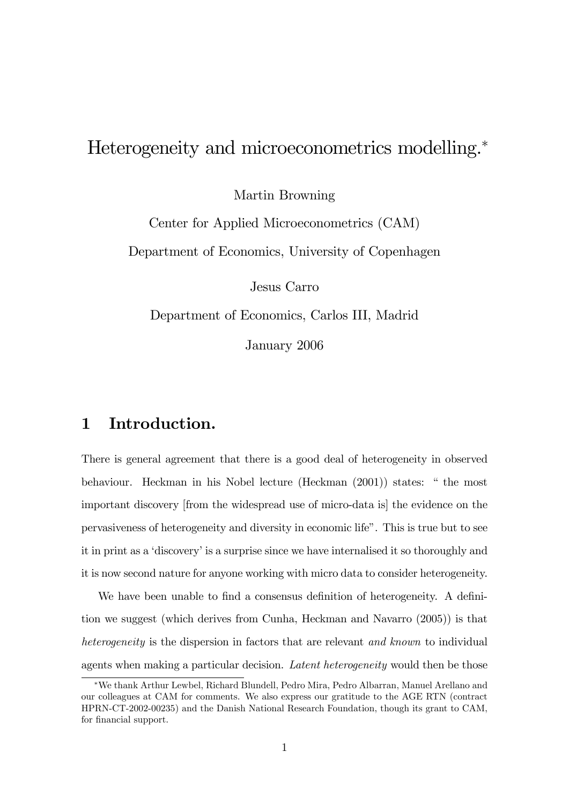# Heterogeneity and microeconometrics modelling.

Martin Browning

Center for Applied Microeconometrics (CAM)

Department of Economics, University of Copenhagen

Jesus Carro

Department of Economics, Carlos III, Madrid

January 2006

# 1 Introduction.

There is general agreement that there is a good deal of heterogeneity in observed behaviour. Heckman in his Nobel lecture (Heckman (2001)) states: " the most important discovery [from the widespread use of micro-data is] the evidence on the pervasiveness of heterogeneity and diversity in economic lifeî. This is true but to see it in print as a 'discovery' is a surprise since we have internalised it so thoroughly and it is now second nature for anyone working with micro data to consider heterogeneity.

We have been unable to find a consensus definition of heterogeneity. A definition we suggest (which derives from Cunha, Heckman and Navarro (2005)) is that heterogeneity is the dispersion in factors that are relevant and known to individual agents when making a particular decision. Latent heterogeneity would then be those

We thank Arthur Lewbel, Richard Blundell, Pedro Mira, Pedro Albarran, Manuel Arellano and our colleagues at CAM for comments. We also express our gratitude to the AGE RTN (contract HPRN-CT-2002-00235) and the Danish National Research Foundation, though its grant to CAM, for financial support.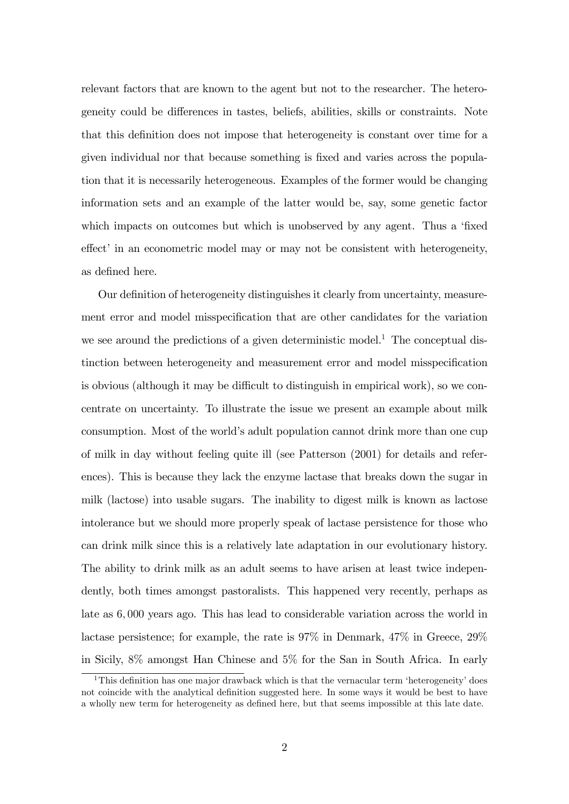relevant factors that are known to the agent but not to the researcher. The heterogeneity could be differences in tastes, beliefs, abilities, skills or constraints. Note that this definition does not impose that heterogeneity is constant over time for a given individual nor that because something is Öxed and varies across the population that it is necessarily heterogeneous. Examples of the former would be changing information sets and an example of the latter would be, say, some genetic factor which impacts on outcomes but which is unobserved by any agent. Thus a 'fixed effect in an econometric model may or may not be consistent with heterogeneity, as defined here.

Our definition of heterogeneity distinguishes it clearly from uncertainty, measurement error and model misspecification that are other candidates for the variation we see around the predictions of a given deterministic model.<sup>1</sup> The conceptual distinction between heterogeneity and measurement error and model misspecification is obvious (although it may be difficult to distinguish in empirical work), so we concentrate on uncertainty. To illustrate the issue we present an example about milk consumption. Most of the world's adult population cannot drink more than one cup of milk in day without feeling quite ill (see Patterson (2001) for details and references). This is because they lack the enzyme lactase that breaks down the sugar in milk (lactose) into usable sugars. The inability to digest milk is known as lactose intolerance but we should more properly speak of lactase persistence for those who can drink milk since this is a relatively late adaptation in our evolutionary history. The ability to drink milk as an adult seems to have arisen at least twice independently, both times amongst pastoralists. This happened very recently, perhaps as late as 6; 000 years ago. This has lead to considerable variation across the world in lactase persistence; for example, the rate is 97% in Denmark, 47% in Greece, 29% in Sicily, 8% amongst Han Chinese and 5% for the San in South Africa. In early

<sup>&</sup>lt;sup>1</sup>This definition has one major drawback which is that the vernacular term 'heterogeneity' does not coincide with the analytical definition suggested here. In some ways it would be best to have a wholly new term for heterogeneity as defined here, but that seems impossible at this late date.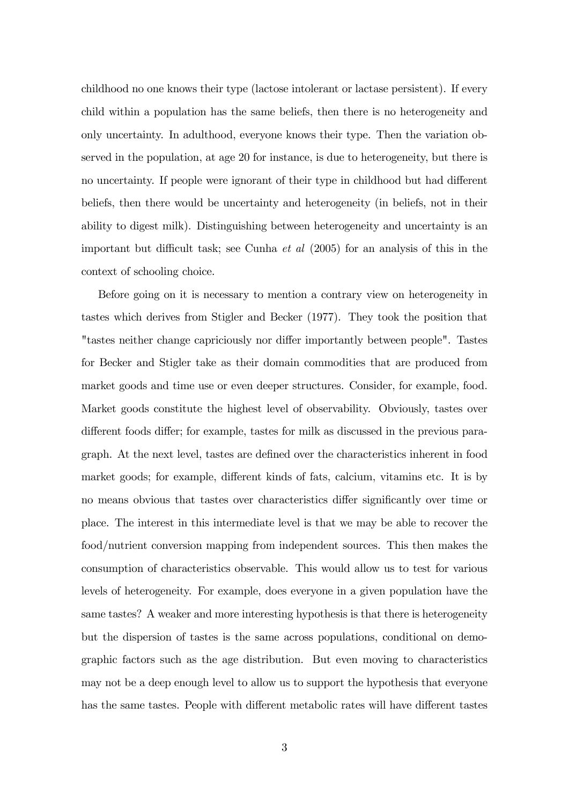childhood no one knows their type (lactose intolerant or lactase persistent). If every child within a population has the same beliefs, then there is no heterogeneity and only uncertainty. In adulthood, everyone knows their type. Then the variation observed in the population, at age 20 for instance, is due to heterogeneity, but there is no uncertainty. If people were ignorant of their type in childhood but had different beliefs, then there would be uncertainty and heterogeneity (in beliefs, not in their ability to digest milk). Distinguishing between heterogeneity and uncertainty is an important but difficult task; see Cunha *et al*  $(2005)$  for an analysis of this in the context of schooling choice.

Before going on it is necessary to mention a contrary view on heterogeneity in tastes which derives from Stigler and Becker (1977). They took the position that "tastes neither change capriciously nor differ importantly between people". Tastes for Becker and Stigler take as their domain commodities that are produced from market goods and time use or even deeper structures. Consider, for example, food. Market goods constitute the highest level of observability. Obviously, tastes over different foods differ; for example, tastes for milk as discussed in the previous paragraph. At the next level, tastes are deÖned over the characteristics inherent in food market goods; for example, different kinds of fats, calcium, vitamins etc. It is by no means obvious that tastes over characteristics differ significantly over time or place. The interest in this intermediate level is that we may be able to recover the food/nutrient conversion mapping from independent sources. This then makes the consumption of characteristics observable. This would allow us to test for various levels of heterogeneity. For example, does everyone in a given population have the same tastes? A weaker and more interesting hypothesis is that there is heterogeneity but the dispersion of tastes is the same across populations, conditional on demographic factors such as the age distribution. But even moving to characteristics may not be a deep enough level to allow us to support the hypothesis that everyone has the same tastes. People with different metabolic rates will have different tastes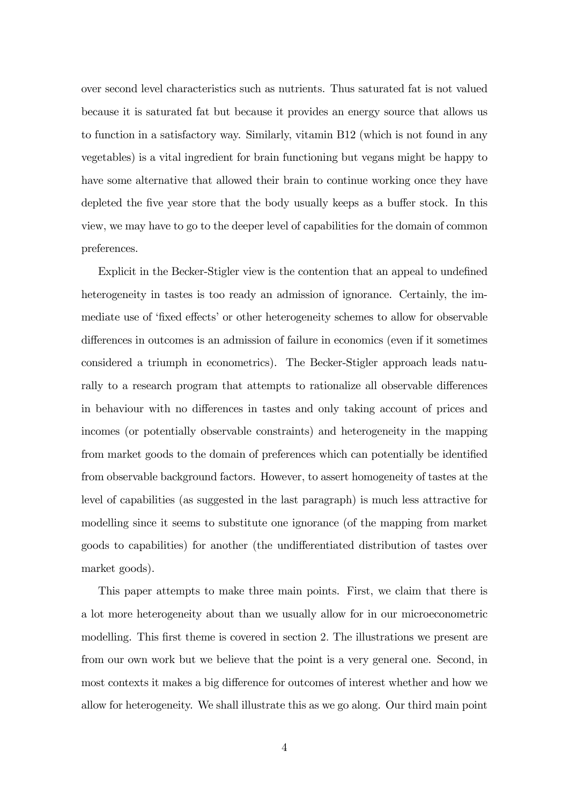over second level characteristics such as nutrients. Thus saturated fat is not valued because it is saturated fat but because it provides an energy source that allows us to function in a satisfactory way. Similarly, vitamin B12 (which is not found in any vegetables) is a vital ingredient for brain functioning but vegans might be happy to have some alternative that allowed their brain to continue working once they have depleted the five year store that the body usually keeps as a buffer stock. In this view, we may have to go to the deeper level of capabilities for the domain of common preferences.

Explicit in the Becker-Stigler view is the contention that an appeal to undefined heterogeneity in tastes is too ready an admission of ignorance. Certainly, the immediate use of 'fixed effects' or other heterogeneity schemes to allow for observable differences in outcomes is an admission of failure in economics (even if it sometimes considered a triumph in econometrics). The Becker-Stigler approach leads naturally to a research program that attempts to rationalize all observable differences in behaviour with no differences in tastes and only taking account of prices and incomes (or potentially observable constraints) and heterogeneity in the mapping from market goods to the domain of preferences which can potentially be identified from observable background factors. However, to assert homogeneity of tastes at the level of capabilities (as suggested in the last paragraph) is much less attractive for modelling since it seems to substitute one ignorance (of the mapping from market goods to capabilities) for another (the undifferentiated distribution of tastes over market goods).

This paper attempts to make three main points. First, we claim that there is a lot more heterogeneity about than we usually allow for in our microeconometric modelling. This first theme is covered in section 2. The illustrations we present are from our own work but we believe that the point is a very general one. Second, in most contexts it makes a big difference for outcomes of interest whether and how we allow for heterogeneity. We shall illustrate this as we go along. Our third main point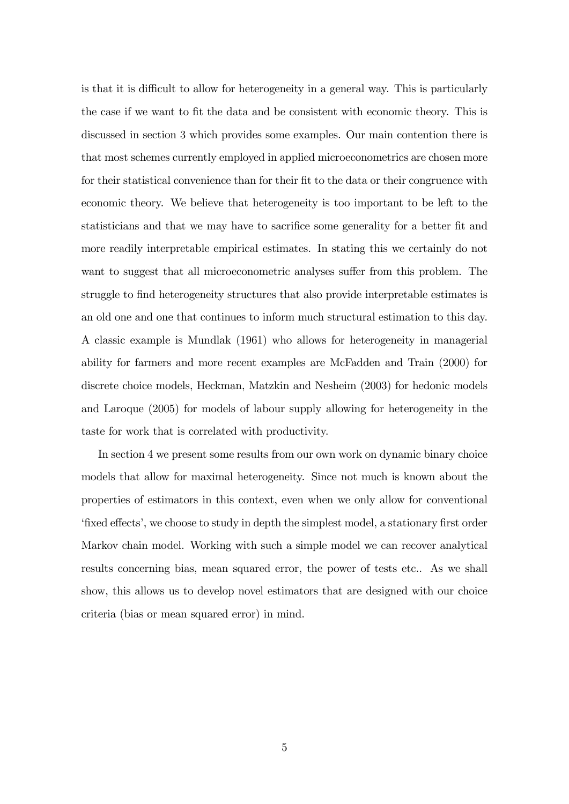is that it is difficult to allow for heterogeneity in a general way. This is particularly the case if we want to fit the data and be consistent with economic theory. This is discussed in section 3 which provides some examples. Our main contention there is that most schemes currently employed in applied microeconometrics are chosen more for their statistical convenience than for their fit to the data or their congruence with economic theory. We believe that heterogeneity is too important to be left to the statisticians and that we may have to sacrifice some generality for a better fit and more readily interpretable empirical estimates. In stating this we certainly do not want to suggest that all microeconometric analyses suffer from this problem. The struggle to find heterogeneity structures that also provide interpretable estimates is an old one and one that continues to inform much structural estimation to this day. A classic example is Mundlak (1961) who allows for heterogeneity in managerial ability for farmers and more recent examples are McFadden and Train (2000) for discrete choice models, Heckman, Matzkin and Nesheim (2003) for hedonic models and Laroque (2005) for models of labour supply allowing for heterogeneity in the taste for work that is correlated with productivity.

In section 4 we present some results from our own work on dynamic binary choice models that allow for maximal heterogeneity. Since not much is known about the properties of estimators in this context, even when we only allow for conventional fixed effects', we choose to study in depth the simplest model, a stationary first order Markov chain model. Working with such a simple model we can recover analytical results concerning bias, mean squared error, the power of tests etc.. As we shall show, this allows us to develop novel estimators that are designed with our choice criteria (bias or mean squared error) in mind.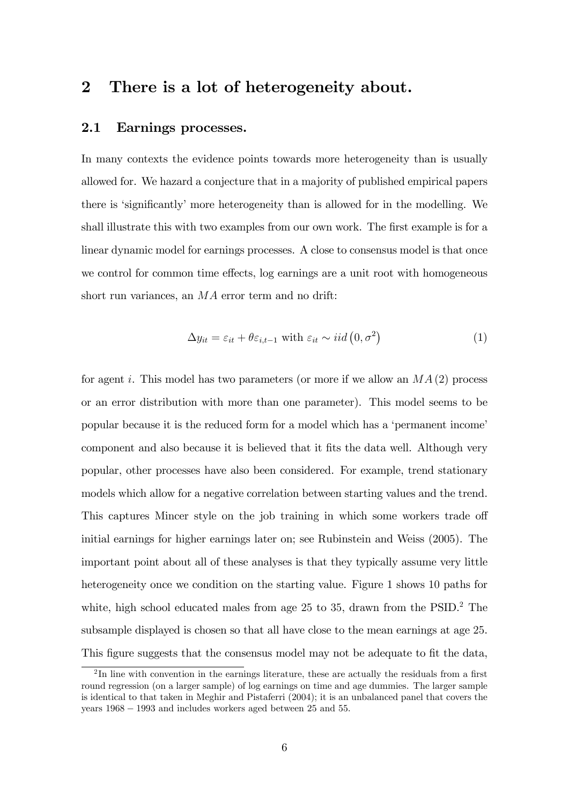# 2 There is a lot of heterogeneity about.

### 2.1 Earnings processes.

In many contexts the evidence points towards more heterogeneity than is usually allowed for. We hazard a conjecture that in a majority of published empirical papers there is 'significantly' more heterogeneity than is allowed for in the modelling. We shall illustrate this with two examples from our own work. The first example is for a linear dynamic model for earnings processes. A close to consensus model is that once we control for common time effects, log earnings are a unit root with homogeneous short run variances, an  $MA$  error term and no drift:

$$
\Delta y_{it} = \varepsilon_{it} + \theta \varepsilon_{i,t-1} \text{ with } \varepsilon_{it} \sim \text{iid} (0, \sigma^2)
$$
 (1)

for agent i. This model has two parameters (or more if we allow an  $MA(2)$  process or an error distribution with more than one parameter). This model seems to be popular because it is the reduced form for a model which has a 'permanent income' component and also because it is believed that it Öts the data well. Although very popular, other processes have also been considered. For example, trend stationary models which allow for a negative correlation between starting values and the trend. This captures Mincer style on the job training in which some workers trade of initial earnings for higher earnings later on; see Rubinstein and Weiss (2005). The important point about all of these analyses is that they typically assume very little heterogeneity once we condition on the starting value. Figure 1 shows 10 paths for white, high school educated males from age  $25$  to  $35$ , drawn from the  $PSID<sup>2</sup>$ . The subsample displayed is chosen so that all have close to the mean earnings at age 25. This figure suggests that the consensus model may not be adequate to fit the data,

 ${}^{2}$ In line with convention in the earnings literature, these are actually the residuals from a first round regression (on a larger sample) of log earnings on time and age dummies. The larger sample is identical to that taken in Meghir and Pistaferri (2004); it is an unbalanced panel that covers the years  $1968 - 1993$  and includes workers aged between 25 and 55.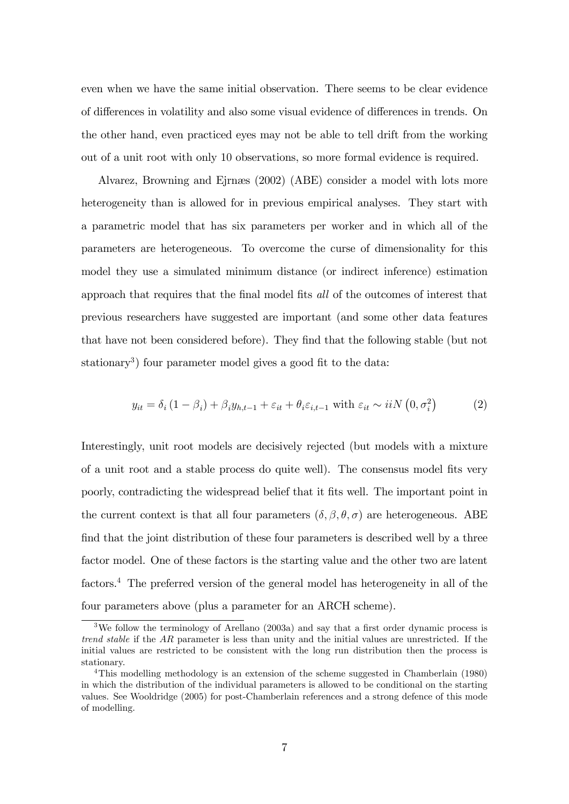even when we have the same initial observation. There seems to be clear evidence of differences in volatility and also some visual evidence of differences in trends. On the other hand, even practiced eyes may not be able to tell drift from the working out of a unit root with only 10 observations, so more formal evidence is required.

Alvarez, Browning and Ejrnæs (2002) (ABE) consider a model with lots more heterogeneity than is allowed for in previous empirical analyses. They start with a parametric model that has six parameters per worker and in which all of the parameters are heterogeneous. To overcome the curse of dimensionality for this model they use a simulated minimum distance (or indirect inference) estimation approach that requires that the final model fits all of the outcomes of interest that previous researchers have suggested are important (and some other data features that have not been considered before). They find that the following stable (but not stationary<sup>3</sup>) four parameter model gives a good fit to the data:

$$
y_{it} = \delta_i (1 - \beta_i) + \beta_i y_{h,t-1} + \varepsilon_{it} + \theta_i \varepsilon_{i,t-1} \text{ with } \varepsilon_{it} \sim i i N (0, \sigma_i^2)
$$
 (2)

Interestingly, unit root models are decisively rejected (but models with a mixture of a unit root and a stable process do quite well). The consensus model Öts very poorly, contradicting the widespread belief that it Öts well. The important point in the current context is that all four parameters  $(\delta, \beta, \theta, \sigma)$  are heterogeneous. ABE find that the joint distribution of these four parameters is described well by a three factor model. One of these factors is the starting value and the other two are latent factors.<sup>4</sup> The preferred version of the general model has heterogeneity in all of the four parameters above (plus a parameter for an ARCH scheme).

<sup>&</sup>lt;sup>3</sup>We follow the terminology of Arellano (2003a) and say that a first order dynamic process is trend stable if the AR parameter is less than unity and the initial values are unrestricted. If the initial values are restricted to be consistent with the long run distribution then the process is stationary.

<sup>&</sup>lt;sup>4</sup>This modelling methodology is an extension of the scheme suggested in Chamberlain (1980) in which the distribution of the individual parameters is allowed to be conditional on the starting values. See Wooldridge (2005) for post-Chamberlain references and a strong defence of this mode of modelling.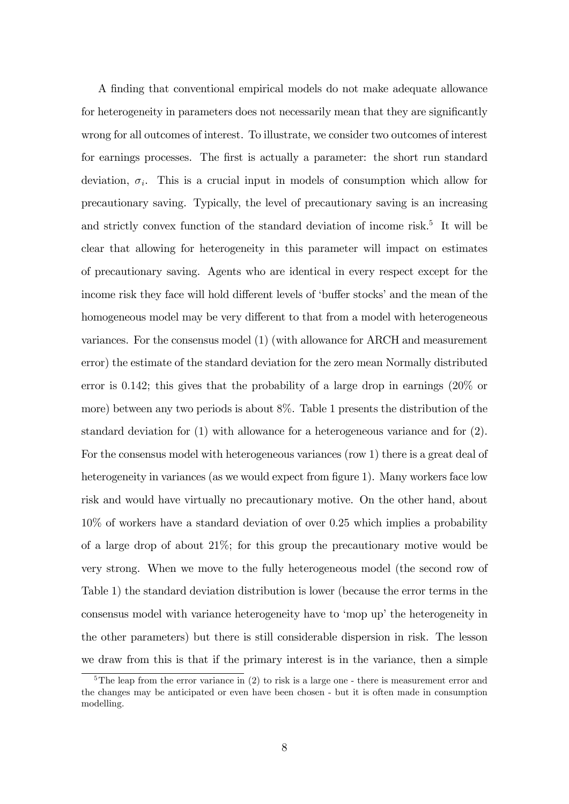A finding that conventional empirical models do not make adequate allowance for heterogeneity in parameters does not necessarily mean that they are significantly wrong for all outcomes of interest. To illustrate, we consider two outcomes of interest for earnings processes. The first is actually a parameter: the short run standard deviation,  $\sigma_i$ . This is a crucial input in models of consumption which allow for precautionary saving. Typically, the level of precautionary saving is an increasing and strictly convex function of the standard deviation of income risk.<sup>5</sup> It will be clear that allowing for heterogeneity in this parameter will impact on estimates of precautionary saving. Agents who are identical in every respect except for the income risk they face will hold different levels of 'buffer stocks' and the mean of the homogeneous model may be very different to that from a model with heterogeneous variances. For the consensus model (1) (with allowance for ARCH and measurement error) the estimate of the standard deviation for the zero mean Normally distributed error is 0:142; this gives that the probability of a large drop in earnings (20% or more) between any two periods is about 8%. Table 1 presents the distribution of the standard deviation for (1) with allowance for a heterogeneous variance and for (2). For the consensus model with heterogeneous variances (row 1) there is a great deal of heterogeneity in variances (as we would expect from figure 1). Many workers face low risk and would have virtually no precautionary motive. On the other hand, about 10% of workers have a standard deviation of over 0:25 which implies a probability of a large drop of about 21%; for this group the precautionary motive would be very strong. When we move to the fully heterogeneous model (the second row of Table 1) the standard deviation distribution is lower (because the error terms in the consensus model with variance heterogeneity have to 'mop up' the heterogeneity in the other parameters) but there is still considerable dispersion in risk. The lesson we draw from this is that if the primary interest is in the variance, then a simple

<sup>&</sup>lt;sup>5</sup>The leap from the error variance in  $(2)$  to risk is a large one - there is measurement error and the changes may be anticipated or even have been chosen - but it is often made in consumption modelling.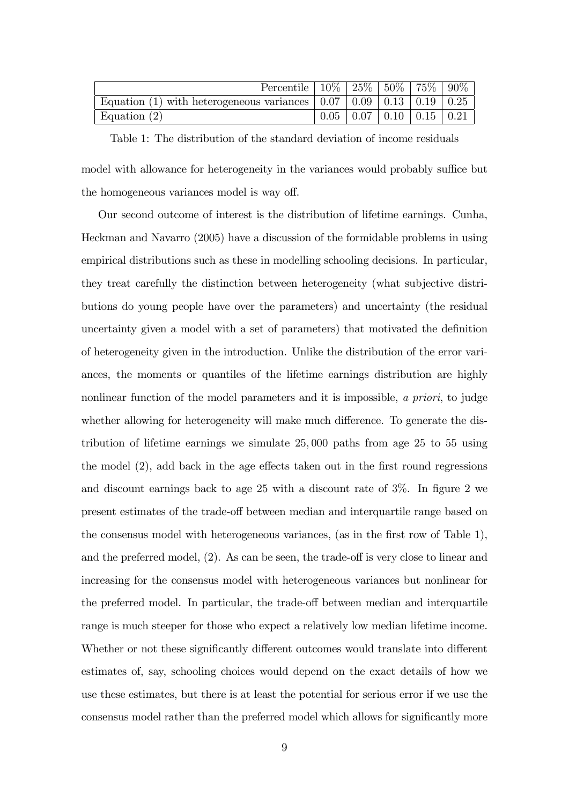| Percentile   $10\%$   $25\%$   $50\%$   $75\%$   $90\%$                                            |                                                          |  |  |
|----------------------------------------------------------------------------------------------------|----------------------------------------------------------|--|--|
| Equation (1) with heterogeneous variances $\vert 0.07 \vert 0.09 \vert 0.13 \vert 0.19 \vert 0.25$ |                                                          |  |  |
| Equation $(2)$                                                                                     | $\vert 0.05 \vert 0.07 \vert 0.10 \vert 0.15 \vert 0.21$ |  |  |

Table 1: The distribution of the standard deviation of income residuals

model with allowance for heterogeneity in the variances would probably suffice but the homogeneous variances model is way off.

Our second outcome of interest is the distribution of lifetime earnings. Cunha, Heckman and Navarro (2005) have a discussion of the formidable problems in using empirical distributions such as these in modelling schooling decisions. In particular, they treat carefully the distinction between heterogeneity (what subjective distributions do young people have over the parameters) and uncertainty (the residual uncertainty given a model with a set of parameters) that motivated the definition of heterogeneity given in the introduction. Unlike the distribution of the error variances, the moments or quantiles of the lifetime earnings distribution are highly nonlinear function of the model parameters and it is impossible, a priori, to judge whether allowing for heterogeneity will make much difference. To generate the distribution of lifetime earnings we simulate 25; 000 paths from age 25 to 55 using the model  $(2)$ , add back in the age effects taken out in the first round regressions and discount earnings back to age 25 with a discount rate of  $3\%$ . In figure 2 we present estimates of the trade-off between median and interquartile range based on the consensus model with heterogeneous variances, (as in the first row of Table 1), and the preferred model,  $(2)$ . As can be seen, the trade-off is very close to linear and increasing for the consensus model with heterogeneous variances but nonlinear for the preferred model. In particular, the trade-off between median and interquartile range is much steeper for those who expect a relatively low median lifetime income. Whether or not these significantly different outcomes would translate into different estimates of, say, schooling choices would depend on the exact details of how we use these estimates, but there is at least the potential for serious error if we use the consensus model rather than the preferred model which allows for significantly more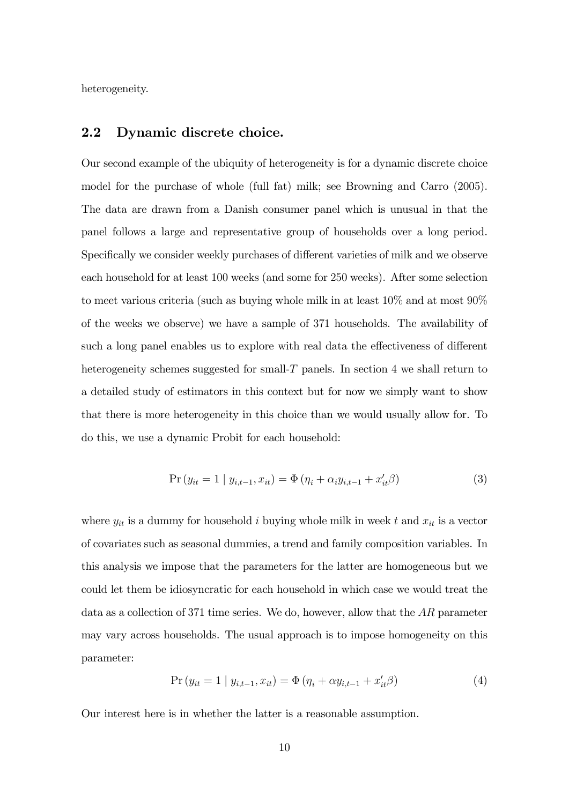heterogeneity.

### 2.2 Dynamic discrete choice.

Our second example of the ubiquity of heterogeneity is for a dynamic discrete choice model for the purchase of whole (full fat) milk; see Browning and Carro (2005). The data are drawn from a Danish consumer panel which is unusual in that the panel follows a large and representative group of households over a long period. Specifically we consider weekly purchases of different varieties of milk and we observe each household for at least 100 weeks (and some for 250 weeks). After some selection to meet various criteria (such as buying whole milk in at least 10% and at most 90% of the weeks we observe) we have a sample of 371 households. The availability of such a long panel enables us to explore with real data the effectiveness of different heterogeneity schemes suggested for small- $T$  panels. In section 4 we shall return to a detailed study of estimators in this context but for now we simply want to show that there is more heterogeneity in this choice than we would usually allow for. To do this, we use a dynamic Probit for each household:

$$
\Pr(y_{it} = 1 \mid y_{i,t-1}, x_{it}) = \Phi(\eta_i + \alpha_i y_{i,t-1} + x_{it}'\beta)
$$
\n(3)

where  $y_{it}$  is a dummy for household i buying whole milk in week t and  $x_{it}$  is a vector of covariates such as seasonal dummies, a trend and family composition variables. In this analysis we impose that the parameters for the latter are homogeneous but we could let them be idiosyncratic for each household in which case we would treat the data as a collection of 371 time series. We do, however, allow that the  $AR$  parameter may vary across households. The usual approach is to impose homogeneity on this parameter:

$$
\Pr(y_{it} = 1 \mid y_{i,t-1}, x_{it}) = \Phi(\eta_i + \alpha y_{i,t-1} + x'_{it}\beta)
$$
\n(4)

Our interest here is in whether the latter is a reasonable assumption.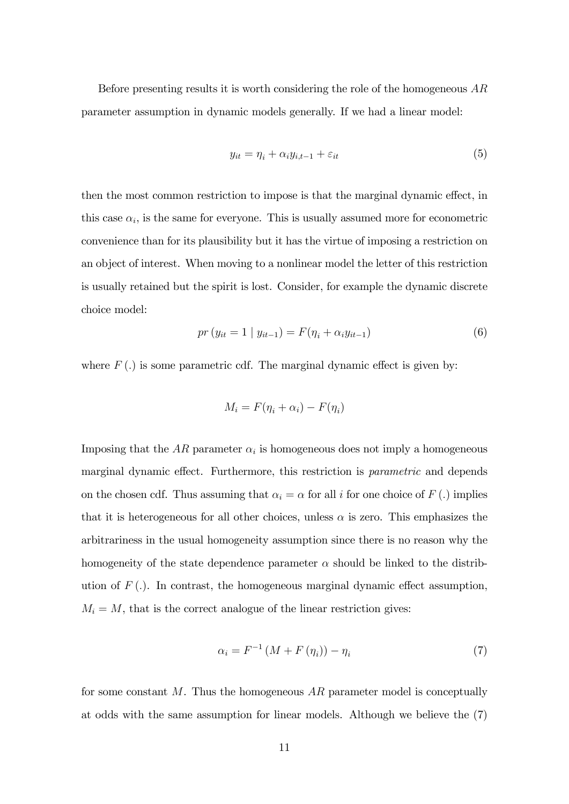Before presenting results it is worth considering the role of the homogeneous AR parameter assumption in dynamic models generally. If we had a linear model:

$$
y_{it} = \eta_i + \alpha_i y_{i,t-1} + \varepsilon_{it} \tag{5}
$$

then the most common restriction to impose is that the marginal dynamic effect, in this case  $\alpha_i$ , is the same for everyone. This is usually assumed more for econometric convenience than for its plausibility but it has the virtue of imposing a restriction on an object of interest. When moving to a nonlinear model the letter of this restriction is usually retained but the spirit is lost. Consider, for example the dynamic discrete choice model:

$$
pr(y_{it} = 1 | y_{it-1}) = F(\eta_i + \alpha_i y_{it-1})
$$
\n(6)

where  $F(.)$  is some parametric cdf. The marginal dynamic effect is given by:

$$
M_i = F(\eta_i + \alpha_i) - F(\eta_i)
$$

Imposing that the  $AR$  parameter  $\alpha_i$  is homogeneous does not imply a homogeneous marginal dynamic effect. Furthermore, this restriction is *parametric* and depends on the chosen cdf. Thus assuming that  $\alpha_i = \alpha$  for all i for one choice of F (.) implies that it is heterogeneous for all other choices, unless  $\alpha$  is zero. This emphasizes the arbitrariness in the usual homogeneity assumption since there is no reason why the homogeneity of the state dependence parameter  $\alpha$  should be linked to the distribution of  $F(.)$ . In contrast, the homogeneous marginal dynamic effect assumption,  $M_i = M$ , that is the correct analogue of the linear restriction gives:

$$
\alpha_i = F^{-1} \left( M + F(\eta_i) \right) - \eta_i \tag{7}
$$

for some constant  $M$ . Thus the homogeneous  $AR$  parameter model is conceptually at odds with the same assumption for linear models. Although we believe the (7)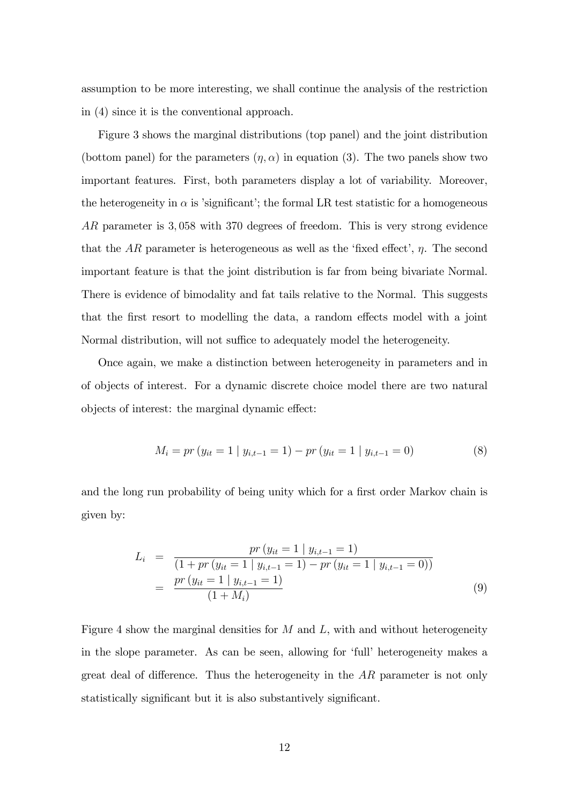assumption to be more interesting, we shall continue the analysis of the restriction in (4) since it is the conventional approach.

Figure 3 shows the marginal distributions (top panel) and the joint distribution (bottom panel) for the parameters  $(\eta, \alpha)$  in equation (3). The two panels show two important features. First, both parameters display a lot of variability. Moreover, the heterogeneity in  $\alpha$  is 'significant'; the formal LR test statistic for a homogeneous AR parameter is 3,058 with 370 degrees of freedom. This is very strong evidence that the AR parameter is heterogeneous as well as the 'fixed effect',  $\eta$ . The second important feature is that the joint distribution is far from being bivariate Normal. There is evidence of bimodality and fat tails relative to the Normal. This suggests that the first resort to modelling the data, a random effects model with a joint Normal distribution, will not suffice to adequately model the heterogeneity.

Once again, we make a distinction between heterogeneity in parameters and in of objects of interest. For a dynamic discrete choice model there are two natural objects of interest: the marginal dynamic effect:

$$
M_i = pr (y_{it} = 1 | y_{i,t-1} = 1) - pr (y_{it} = 1 | y_{i,t-1} = 0)
$$
\n(8)

and the long run probability of being unity which for a first order Markov chain is given by:

$$
L_i = \frac{pr (y_{it} = 1 | y_{i,t-1} = 1)}{(1 + pr (y_{it} = 1 | y_{i,t-1} = 1) - pr (y_{it} = 1 | y_{i,t-1} = 0))}
$$
  
= 
$$
\frac{pr (y_{it} = 1 | y_{i,t-1} = 1)}{(1 + M_i)}
$$
(9)

Figure 4 show the marginal densities for  $M$  and  $L$ , with and without heterogeneity in the slope parameter. As can be seen, allowing for 'full' heterogeneity makes a great deal of difference. Thus the heterogeneity in the  $AR$  parameter is not only statistically significant but it is also substantively significant.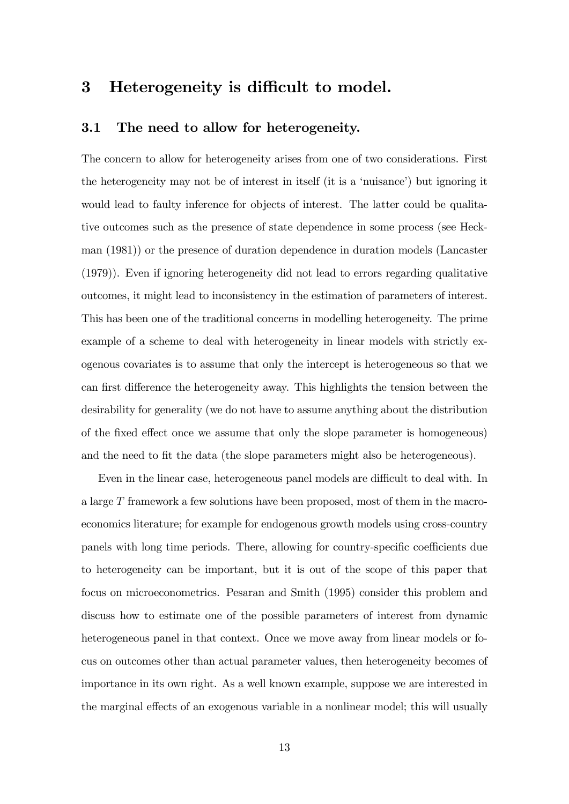# 3 Heterogeneity is difficult to model.

### 3.1 The need to allow for heterogeneity.

The concern to allow for heterogeneity arises from one of two considerations. First the heterogeneity may not be of interest in itself (it is a 'nuisance') but ignoring it would lead to faulty inference for objects of interest. The latter could be qualitative outcomes such as the presence of state dependence in some process (see Heckman (1981)) or the presence of duration dependence in duration models (Lancaster (1979)). Even if ignoring heterogeneity did not lead to errors regarding qualitative outcomes, it might lead to inconsistency in the estimation of parameters of interest. This has been one of the traditional concerns in modelling heterogeneity. The prime example of a scheme to deal with heterogeneity in linear models with strictly exogenous covariates is to assume that only the intercept is heterogeneous so that we can first difference the heterogeneity away. This highlights the tension between the desirability for generality (we do not have to assume anything about the distribution of the fixed effect once we assume that only the slope parameter is homogeneous) and the need to fit the data (the slope parameters might also be heterogeneous).

Even in the linear case, heterogeneous panel models are difficult to deal with. In a large T framework a few solutions have been proposed, most of them in the macroeconomics literature; for example for endogenous growth models using cross-country panels with long time periods. There, allowing for country-specific coefficients due to heterogeneity can be important, but it is out of the scope of this paper that focus on microeconometrics. Pesaran and Smith (1995) consider this problem and discuss how to estimate one of the possible parameters of interest from dynamic heterogeneous panel in that context. Once we move away from linear models or focus on outcomes other than actual parameter values, then heterogeneity becomes of importance in its own right. As a well known example, suppose we are interested in the marginal effects of an exogenous variable in a nonlinear model; this will usually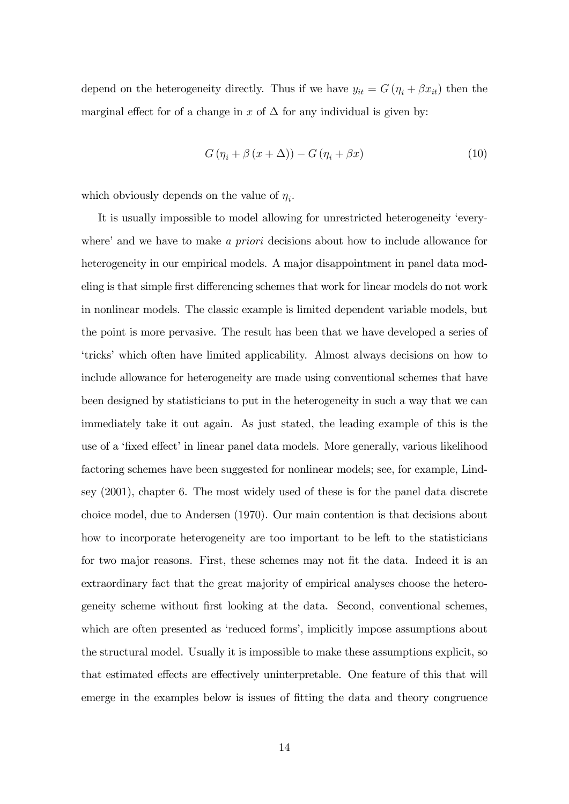depend on the heterogeneity directly. Thus if we have  $y_{it} = G(\eta_i + \beta x_{it})$  then the marginal effect for of a change in x of  $\Delta$  for any individual is given by:

$$
G(\eta_i + \beta(x + \Delta)) - G(\eta_i + \beta x)
$$
\n(10)

which obviously depends on the value of  $\eta_i$ .

It is usually impossible to model allowing for unrestricted heterogeneity 'everywhere' and we have to make a *priori* decisions about how to include allowance for heterogeneity in our empirical models. A major disappointment in panel data modeling is that simple first differencing schemes that work for linear models do not work in nonlinear models. The classic example is limited dependent variable models, but the point is more pervasive. The result has been that we have developed a series of ëtricksíwhich often have limited applicability. Almost always decisions on how to include allowance for heterogeneity are made using conventional schemes that have been designed by statisticians to put in the heterogeneity in such a way that we can immediately take it out again. As just stated, the leading example of this is the use of a 'fixed effect' in linear panel data models. More generally, various likelihood factoring schemes have been suggested for nonlinear models; see, for example, Lindsey (2001), chapter 6. The most widely used of these is for the panel data discrete choice model, due to Andersen (1970). Our main contention is that decisions about how to incorporate heterogeneity are too important to be left to the statisticians for two major reasons. First, these schemes may not fit the data. Indeed it is an extraordinary fact that the great majority of empirical analyses choose the heterogeneity scheme without Örst looking at the data. Second, conventional schemes, which are often presented as 'reduced forms', implicitly impose assumptions about the structural model. Usually it is impossible to make these assumptions explicit, so that estimated effects are effectively uninterpretable. One feature of this that will emerge in the examples below is issues of fitting the data and theory congruence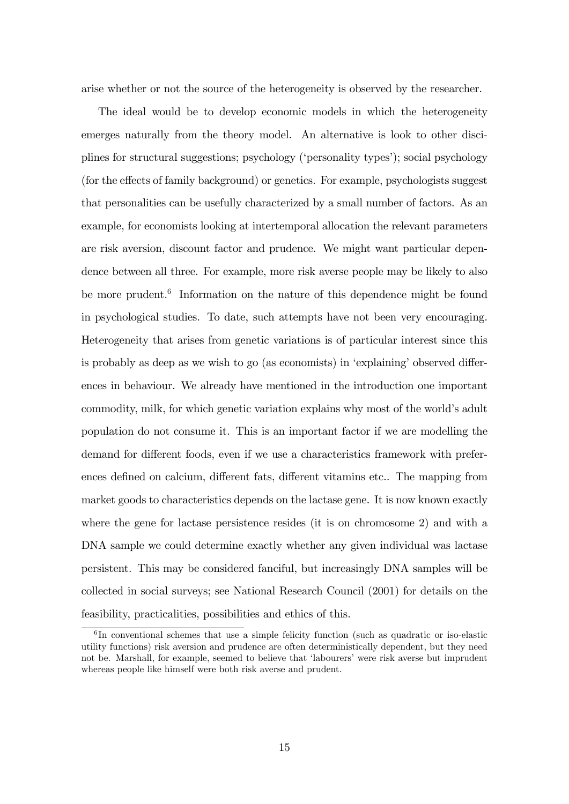arise whether or not the source of the heterogeneity is observed by the researcher.

The ideal would be to develop economic models in which the heterogeneity emerges naturally from the theory model. An alternative is look to other disciplines for structural suggestions; psychology ('personality types'); social psychology (for the effects of family background) or genetics. For example, psychologists suggest that personalities can be usefully characterized by a small number of factors. As an example, for economists looking at intertemporal allocation the relevant parameters are risk aversion, discount factor and prudence. We might want particular dependence between all three. For example, more risk averse people may be likely to also be more prudent.<sup>6</sup> Information on the nature of this dependence might be found in psychological studies. To date, such attempts have not been very encouraging. Heterogeneity that arises from genetic variations is of particular interest since this is probably as deep as we wish to go (as economists) in 'explaining' observed differences in behaviour. We already have mentioned in the introduction one important commodity, milk, for which genetic variation explains why most of the world's adult population do not consume it. This is an important factor if we are modelling the demand for different foods, even if we use a characteristics framework with preferences defined on calcium, different fats, different vitamins etc.. The mapping from market goods to characteristics depends on the lactase gene. It is now known exactly where the gene for lactase persistence resides (it is on chromosome 2) and with a DNA sample we could determine exactly whether any given individual was lactase persistent. This may be considered fanciful, but increasingly DNA samples will be collected in social surveys; see National Research Council (2001) for details on the feasibility, practicalities, possibilities and ethics of this.

<sup>&</sup>lt;sup>6</sup>In conventional schemes that use a simple felicity function (such as quadratic or iso-elastic utility functions) risk aversion and prudence are often deterministically dependent, but they need not be. Marshall, for example, seemed to believe that 'labourers' were risk averse but imprudent whereas people like himself were both risk averse and prudent.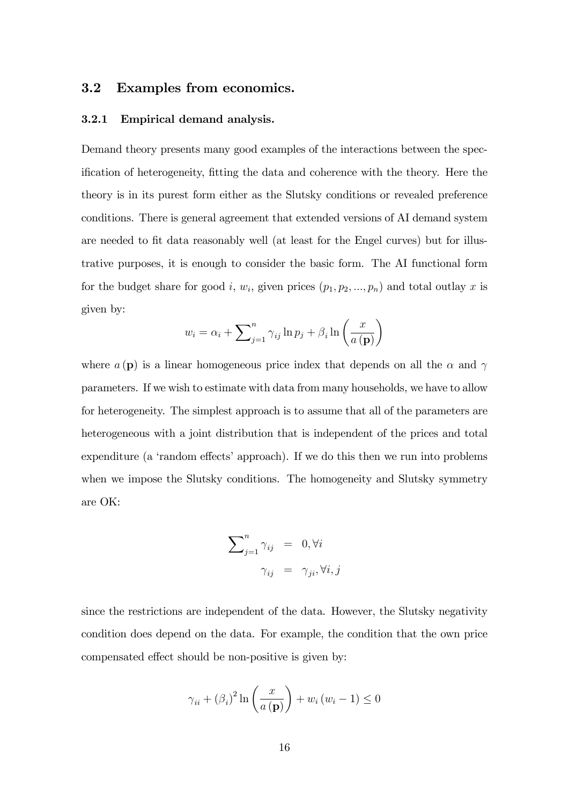### 3.2 Examples from economics.

#### 3.2.1 Empirical demand analysis.

Demand theory presents many good examples of the interactions between the specification of heterogeneity, fitting the data and coherence with the theory. Here the theory is in its purest form either as the Slutsky conditions or revealed preference conditions. There is general agreement that extended versions of AI demand system are needed to fit data reasonably well (at least for the Engel curves) but for illustrative purposes, it is enough to consider the basic form. The AI functional form for the budget share for good i,  $w_i$ , given prices  $(p_1, p_2, ..., p_n)$  and total outlay x is given by:

$$
w_i = \alpha_i + \sum_{j=1}^n \gamma_{ij} \ln p_j + \beta_i \ln \left(\frac{x}{a(\mathbf{p})}\right)
$$

where  $a(\mathbf{p})$  is a linear homogeneous price index that depends on all the  $\alpha$  and  $\gamma$ parameters. If we wish to estimate with data from many households, we have to allow for heterogeneity. The simplest approach is to assume that all of the parameters are heterogeneous with a joint distribution that is independent of the prices and total expenditure (a 'random effects' approach). If we do this then we run into problems when we impose the Slutsky conditions. The homogeneity and Slutsky symmetry are OK:

$$
\sum_{j=1}^{n} \gamma_{ij} = 0, \forall i
$$

$$
\gamma_{ij} = \gamma_{ji}, \forall i, j
$$

since the restrictions are independent of the data. However, the Slutsky negativity condition does depend on the data. For example, the condition that the own price compensated effect should be non-positive is given by:

$$
\gamma_{ii} + (\beta_i)^2 \ln \left( \frac{x}{a(\mathbf{p})} \right) + w_i (w_i - 1) \le 0
$$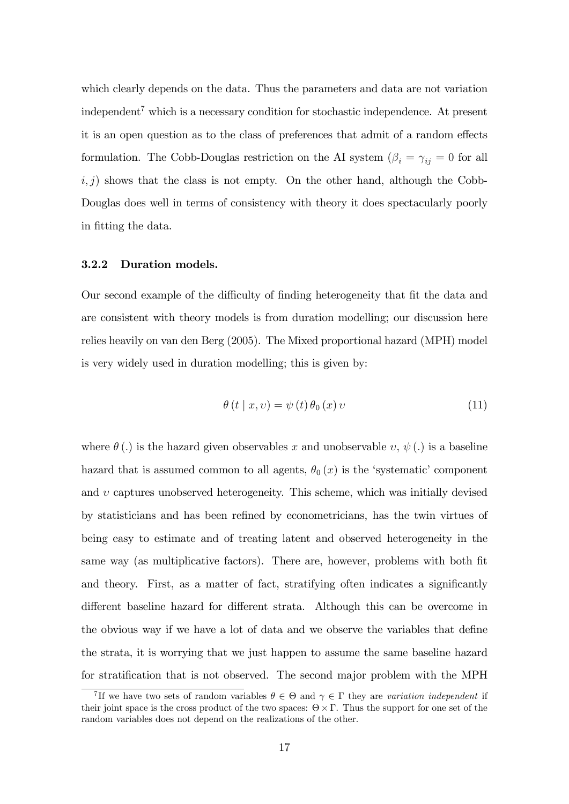which clearly depends on the data. Thus the parameters and data are not variation independent<sup>7</sup> which is a necessary condition for stochastic independence. At present it is an open question as to the class of preferences that admit of a random effects formulation. The Cobb-Douglas restriction on the AI system ( $\beta_i = \gamma_{ij} = 0$  for all  $i, j$ ) shows that the class is not empty. On the other hand, although the Cobb-Douglas does well in terms of consistency with theory it does spectacularly poorly in fitting the data.

#### 3.2.2 Duration models.

Our second example of the difficulty of finding heterogeneity that fit the data and are consistent with theory models is from duration modelling; our discussion here relies heavily on van den Berg (2005). The Mixed proportional hazard (MPH) model is very widely used in duration modelling; this is given by:

$$
\theta(t \mid x, v) = \psi(t) \theta_0(x) v \tag{11}
$$

where  $\theta(.)$  is the hazard given observables x and unobservable  $v, \psi(.)$  is a baseline hazard that is assumed common to all agents,  $\theta_0(x)$  is the 'systematic' component and  $v$  captures unobserved heterogeneity. This scheme, which was initially devised by statisticians and has been refined by econometricians, has the twin virtues of being easy to estimate and of treating latent and observed heterogeneity in the same way (as multiplicative factors). There are, however, problems with both fit and theory. First, as a matter of fact, stratifying often indicates a significantly different baseline hazard for different strata. Although this can be overcome in the obvious way if we have a lot of data and we observe the variables that define the strata, it is worrying that we just happen to assume the same baseline hazard for stratification that is not observed. The second major problem with the MPH

<sup>&</sup>lt;sup>7</sup>If we have two sets of random variables  $\theta \in \Theta$  and  $\gamma \in \Gamma$  they are variation independent if their joint space is the cross product of the two spaces:  $\Theta \times \Gamma$ . Thus the support for one set of the random variables does not depend on the realizations of the other.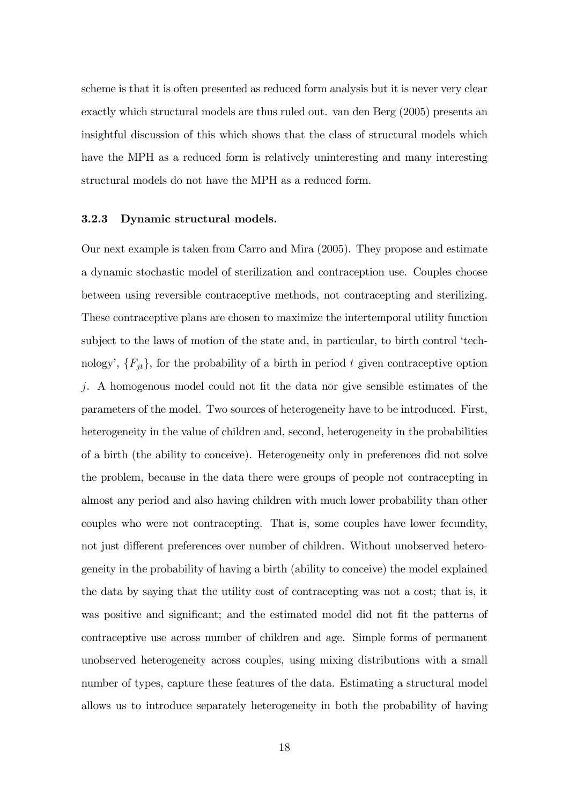scheme is that it is often presented as reduced form analysis but it is never very clear exactly which structural models are thus ruled out. van den Berg (2005) presents an insightful discussion of this which shows that the class of structural models which have the MPH as a reduced form is relatively uninteresting and many interesting structural models do not have the MPH as a reduced form.

#### 3.2.3 Dynamic structural models.

Our next example is taken from Carro and Mira (2005). They propose and estimate a dynamic stochastic model of sterilization and contraception use. Couples choose between using reversible contraceptive methods, not contracepting and sterilizing. These contraceptive plans are chosen to maximize the intertemporal utility function subject to the laws of motion of the state and, in particular, to birth control 'technology',  $\{F_{jt}\}$ , for the probability of a birth in period t given contraceptive option  $j$ . A homogenous model could not fit the data nor give sensible estimates of the parameters of the model. Two sources of heterogeneity have to be introduced. First, heterogeneity in the value of children and, second, heterogeneity in the probabilities of a birth (the ability to conceive). Heterogeneity only in preferences did not solve the problem, because in the data there were groups of people not contracepting in almost any period and also having children with much lower probability than other couples who were not contracepting. That is, some couples have lower fecundity, not just different preferences over number of children. Without unobserved heterogeneity in the probability of having a birth (ability to conceive) the model explained the data by saying that the utility cost of contracepting was not a cost; that is, it was positive and significant; and the estimated model did not fit the patterns of contraceptive use across number of children and age. Simple forms of permanent unobserved heterogeneity across couples, using mixing distributions with a small number of types, capture these features of the data. Estimating a structural model allows us to introduce separately heterogeneity in both the probability of having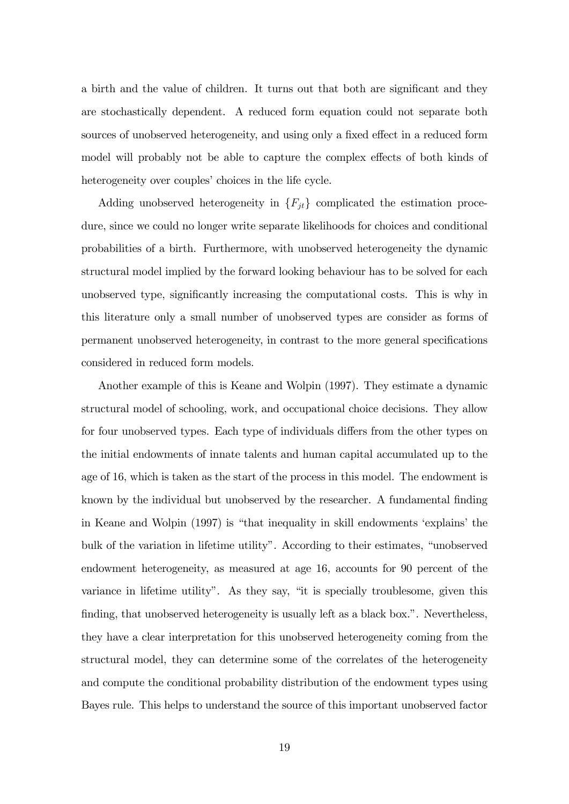a birth and the value of children. It turns out that both are significant and they are stochastically dependent. A reduced form equation could not separate both sources of unobserved heterogeneity, and using only a fixed effect in a reduced form model will probably not be able to capture the complex effects of both kinds of heterogeneity over couples' choices in the life cycle.

Adding unobserved heterogeneity in  ${F_{jt}}$  complicated the estimation procedure, since we could no longer write separate likelihoods for choices and conditional probabilities of a birth. Furthermore, with unobserved heterogeneity the dynamic structural model implied by the forward looking behaviour has to be solved for each unobserved type, significantly increasing the computational costs. This is why in this literature only a small number of unobserved types are consider as forms of permanent unobserved heterogeneity, in contrast to the more general specifications considered in reduced form models.

Another example of this is Keane and Wolpin (1997). They estimate a dynamic structural model of schooling, work, and occupational choice decisions. They allow for four unobserved types. Each type of individuals differs from the other types on the initial endowments of innate talents and human capital accumulated up to the age of 16, which is taken as the start of the process in this model. The endowment is known by the individual but unobserved by the researcher. A fundamental finding in Keane and Wolpin (1997) is "that inequality in skill endowments 'explains' the bulk of the variation in lifetime utility". According to their estimates, "unobserved endowment heterogeneity, as measured at age 16, accounts for 90 percent of the variance in lifetime utility". As they say, "it is specially troublesome, given this finding, that unobserved heterogeneity is usually left as a black box.". Nevertheless, they have a clear interpretation for this unobserved heterogeneity coming from the structural model, they can determine some of the correlates of the heterogeneity and compute the conditional probability distribution of the endowment types using Bayes rule. This helps to understand the source of this important unobserved factor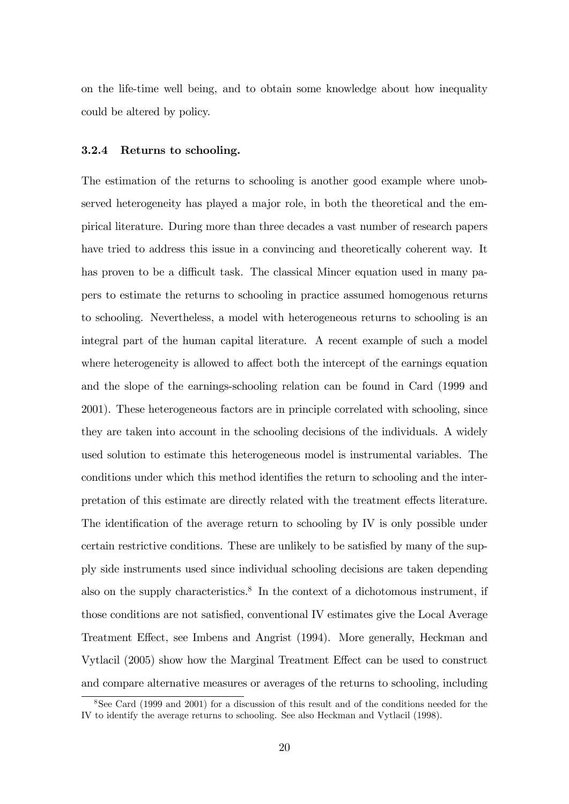on the life-time well being, and to obtain some knowledge about how inequality could be altered by policy.

#### 3.2.4 Returns to schooling.

The estimation of the returns to schooling is another good example where unobserved heterogeneity has played a major role, in both the theoretical and the empirical literature. During more than three decades a vast number of research papers have tried to address this issue in a convincing and theoretically coherent way. It has proven to be a difficult task. The classical Mincer equation used in many papers to estimate the returns to schooling in practice assumed homogenous returns to schooling. Nevertheless, a model with heterogeneous returns to schooling is an integral part of the human capital literature. A recent example of such a model where heterogeneity is allowed to affect both the intercept of the earnings equation and the slope of the earnings-schooling relation can be found in Card (1999 and 2001). These heterogeneous factors are in principle correlated with schooling, since they are taken into account in the schooling decisions of the individuals. A widely used solution to estimate this heterogeneous model is instrumental variables. The conditions under which this method identifies the return to schooling and the interpretation of this estimate are directly related with the treatment effects literature. The identification of the average return to schooling by IV is only possible under certain restrictive conditions. These are unlikely to be satisfied by many of the supply side instruments used since individual schooling decisions are taken depending also on the supply characteristics.<sup>8</sup> In the context of a dichotomous instrument, if those conditions are not satisfied, conventional IV estimates give the Local Average Treatment Effect, see Imbens and Angrist (1994). More generally, Heckman and Vytlacil (2005) show how the Marginal Treatment Effect can be used to construct and compare alternative measures or averages of the returns to schooling, including

<sup>8</sup>See Card (1999 and 2001) for a discussion of this result and of the conditions needed for the IV to identify the average returns to schooling. See also Heckman and Vytlacil (1998).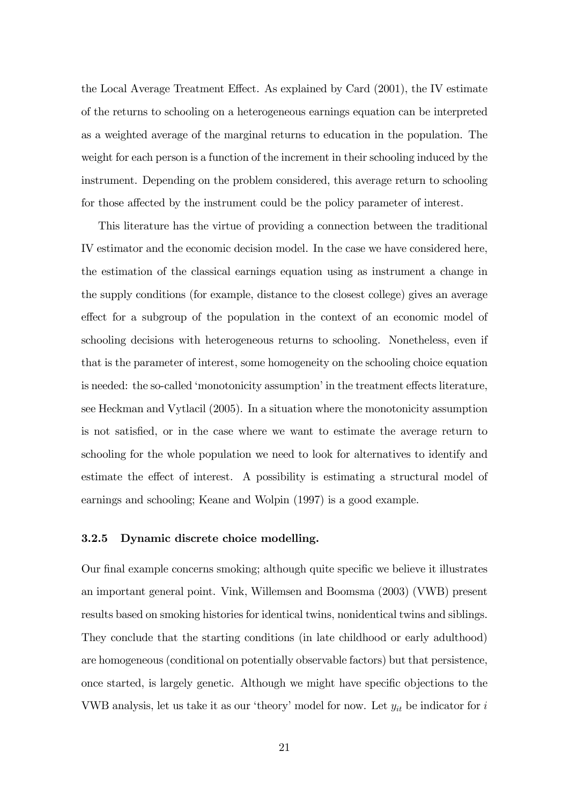the Local Average Treatment Effect. As explained by Card (2001), the IV estimate of the returns to schooling on a heterogeneous earnings equation can be interpreted as a weighted average of the marginal returns to education in the population. The weight for each person is a function of the increment in their schooling induced by the instrument. Depending on the problem considered, this average return to schooling for those affected by the instrument could be the policy parameter of interest.

This literature has the virtue of providing a connection between the traditional IV estimator and the economic decision model. In the case we have considered here, the estimation of the classical earnings equation using as instrument a change in the supply conditions (for example, distance to the closest college) gives an average effect for a subgroup of the population in the context of an economic model of schooling decisions with heterogeneous returns to schooling. Nonetheless, even if that is the parameter of interest, some homogeneity on the schooling choice equation is needed: the so-called 'monotonicity assumption' in the treatment effects literature, see Heckman and Vytlacil (2005). In a situation where the monotonicity assumption is not satisfied, or in the case where we want to estimate the average return to schooling for the whole population we need to look for alternatives to identify and estimate the effect of interest. A possibility is estimating a structural model of earnings and schooling; Keane and Wolpin (1997) is a good example.

#### 3.2.5 Dynamic discrete choice modelling.

Our final example concerns smoking; although quite specific we believe it illustrates an important general point. Vink, Willemsen and Boomsma (2003) (VWB) present results based on smoking histories for identical twins, nonidentical twins and siblings. They conclude that the starting conditions (in late childhood or early adulthood) are homogeneous (conditional on potentially observable factors) but that persistence, once started, is largely genetic. Although we might have specific objections to the VWB analysis, let us take it as our 'theory' model for now. Let  $y_{it}$  be indicator for i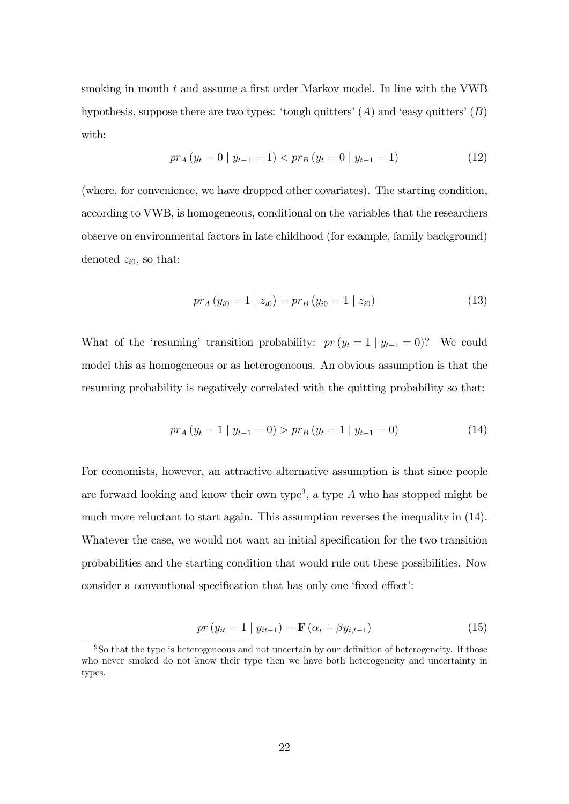smoking in month  $t$  and assume a first order Markov model. In line with the VWB hypothesis, suppose there are two types: 'tough quitters'  $(A)$  and 'easy quitters'  $(B)$ with:

$$
pr_A(y_t = 0 \mid y_{t-1} = 1) < pr_B(y_t = 0 \mid y_{t-1} = 1) \tag{12}
$$

(where, for convenience, we have dropped other covariates). The starting condition, according to VWB, is homogeneous, conditional on the variables that the researchers observe on environmental factors in late childhood (for example, family background) denoted  $z_{i0}$ , so that:

$$
pr_A(y_{i0} = 1 \mid z_{i0}) = pr_B(y_{i0} = 1 \mid z_{i0})
$$
\n(13)

What of the 'resuming' transition probability:  $pr (y_t = 1 | y_{t-1} = 0)$ ? We could model this as homogeneous or as heterogeneous. An obvious assumption is that the resuming probability is negatively correlated with the quitting probability so that:

$$
pr_A(y_t = 1 | y_{t-1} = 0) > pr_B(y_t = 1 | y_{t-1} = 0)
$$
\n(14)

For economists, however, an attractive alternative assumption is that since people are forward looking and know their own type<sup>9</sup>, a type  $A$  who has stopped might be much more reluctant to start again. This assumption reverses the inequality in (14). Whatever the case, we would not want an initial specification for the two transition probabilities and the starting condition that would rule out these possibilities. Now consider a conventional specification that has only one 'fixed effect':

$$
pr(y_{it} = 1 | y_{it-1}) = \mathbf{F}(\alpha_i + \beta y_{i,t-1})
$$
\n(15)

 $9S$ o that the type is heterogeneous and not uncertain by our definition of heterogeneity. If those who never smoked do not know their type then we have both heterogeneity and uncertainty in types.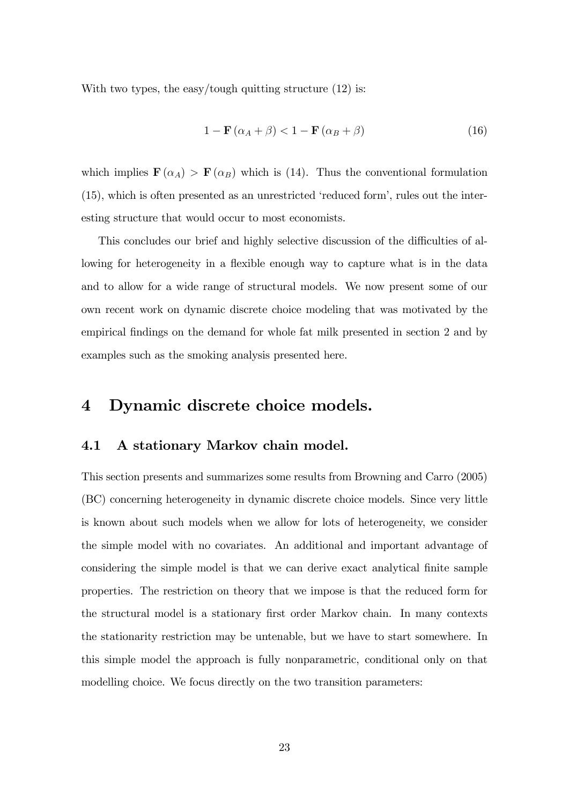With two types, the easy/tough quitting structure  $(12)$  is:

$$
1 - \mathbf{F}(\alpha_A + \beta) < 1 - \mathbf{F}(\alpha_B + \beta) \tag{16}
$$

which implies  $\mathbf{F}(\alpha_A) > \mathbf{F}(\alpha_B)$  which is (14). Thus the conventional formulation  $(15)$ , which is often presented as an unrestricted 'reduced form', rules out the interesting structure that would occur to most economists.

This concludes our brief and highly selective discussion of the difficulties of allowing for heterogeneity in a flexible enough way to capture what is in the data and to allow for a wide range of structural models. We now present some of our own recent work on dynamic discrete choice modeling that was motivated by the empirical findings on the demand for whole fat milk presented in section 2 and by examples such as the smoking analysis presented here.

# 4 Dynamic discrete choice models.

### 4.1 A stationary Markov chain model.

This section presents and summarizes some results from Browning and Carro (2005) (BC) concerning heterogeneity in dynamic discrete choice models. Since very little is known about such models when we allow for lots of heterogeneity, we consider the simple model with no covariates. An additional and important advantage of considering the simple model is that we can derive exact analytical finite sample properties. The restriction on theory that we impose is that the reduced form for the structural model is a stationary first order Markov chain. In many contexts the stationarity restriction may be untenable, but we have to start somewhere. In this simple model the approach is fully nonparametric, conditional only on that modelling choice. We focus directly on the two transition parameters: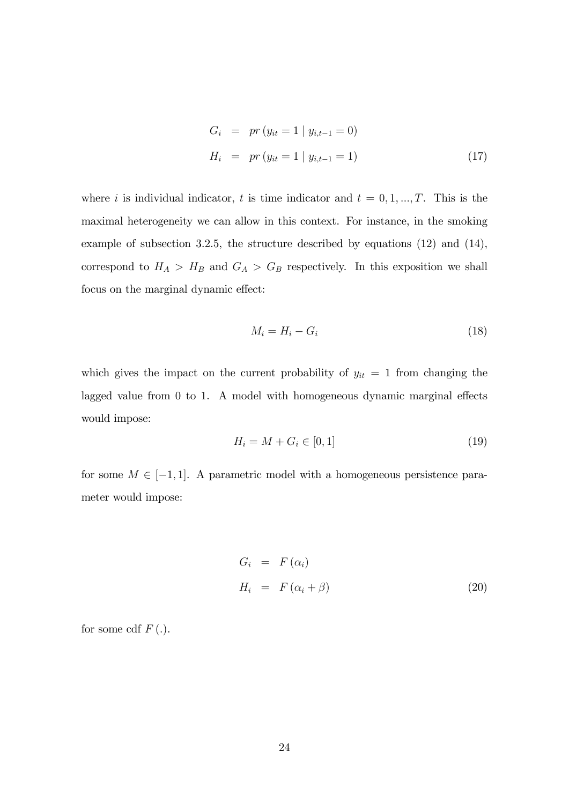$$
G_i = pr (y_{it} = 1 | y_{i,t-1} = 0)
$$
  
\n
$$
H_i = pr (y_{it} = 1 | y_{i,t-1} = 1)
$$
\n(17)

where i is individual indicator, t is time indicator and  $t = 0, 1, ..., T$ . This is the maximal heterogeneity we can allow in this context. For instance, in the smoking example of subsection 3.2.5, the structure described by equations (12) and (14), correspond to  $H_A > H_B$  and  $G_A > G_B$  respectively. In this exposition we shall focus on the marginal dynamic effect:

$$
M_i = H_i - G_i \tag{18}
$$

which gives the impact on the current probability of  $y_{it} = 1$  from changing the lagged value from  $0$  to  $1$ . A model with homogeneous dynamic marginal effects would impose:

$$
H_i = M + G_i \in [0, 1] \tag{19}
$$

for some  $M \in [-1, 1]$ . A parametric model with a homogeneous persistence parameter would impose:

$$
G_i = F(\alpha_i)
$$
  

$$
H_i = F(\alpha_i + \beta)
$$
 (20)

for some cdf  $F(.)$ .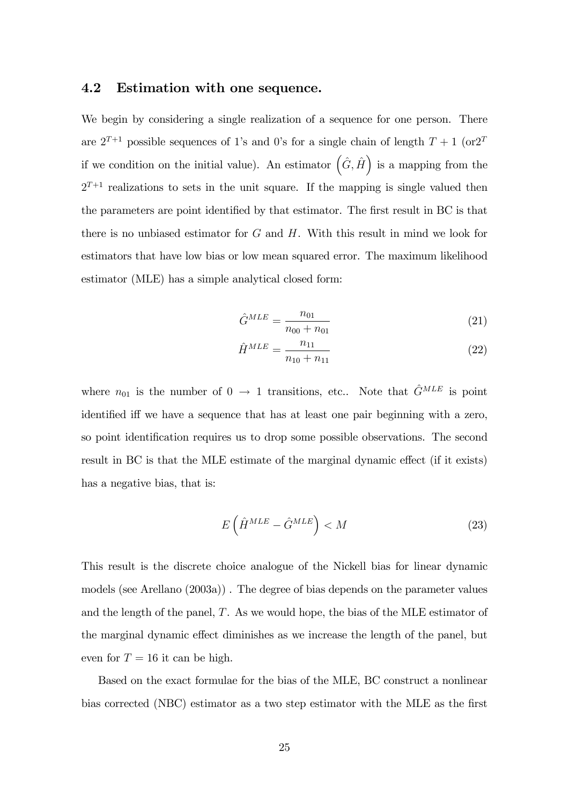### 4.2 Estimation with one sequence.

We begin by considering a single realization of a sequence for one person. There are  $2^{T+1}$  possible sequences of 1's and 0's for a single chain of length  $T+1$  (or  $2^{T}$ if we condition on the initial value). An estimator  $(\hat{G}, \hat{H})$  is a mapping from the  $2^{T+1}$  realizations to sets in the unit square. If the mapping is single valued then the parameters are point identified by that estimator. The first result in BC is that there is no unbiased estimator for  $G$  and  $H$ . With this result in mind we look for estimators that have low bias or low mean squared error. The maximum likelihood estimator (MLE) has a simple analytical closed form:

$$
\hat{G}^{MLE} = \frac{n_{01}}{n_{00} + n_{01}}\tag{21}
$$

$$
\hat{H}^{MLE} = \frac{n_{11}}{n_{10} + n_{11}}\tag{22}
$$

where  $n_{01}$  is the number of  $0 \rightarrow 1$  transitions, etc.. Note that  $\hat{G}^{MLE}$  is point identified if we have a sequence that has at least one pair beginning with a zero, so point identification requires us to drop some possible observations. The second result in BC is that the MLE estimate of the marginal dynamic effect (if it exists) has a negative bias, that is:

$$
E\left(\hat{H}^{MLE} - \hat{G}^{MLE}\right) < M\tag{23}
$$

This result is the discrete choice analogue of the Nickell bias for linear dynamic models (see Arellano (2003a)) . The degree of bias depends on the parameter values and the length of the panel,  $T$ . As we would hope, the bias of the MLE estimator of the marginal dynamic effect diminishes as we increase the length of the panel, but even for  $T = 16$  it can be high.

Based on the exact formulae for the bias of the MLE, BC construct a nonlinear bias corrected (NBC) estimator as a two step estimator with the MLE as the first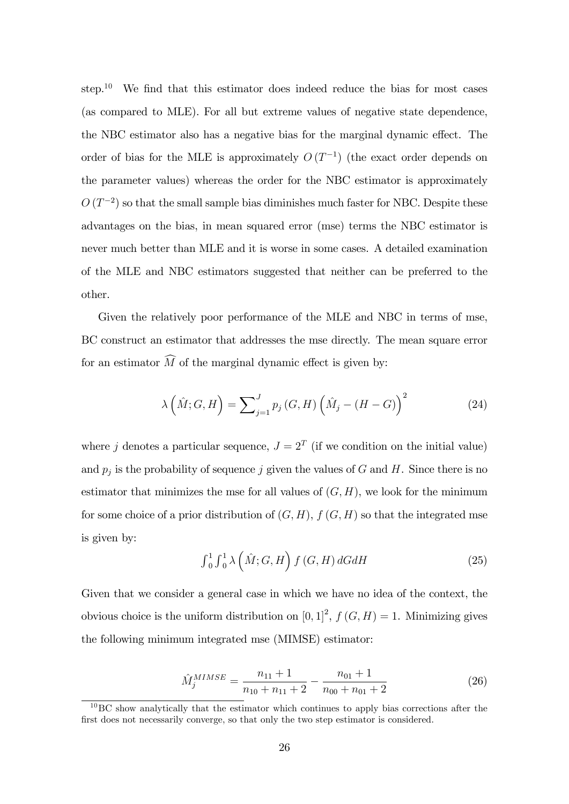step.<sup>10</sup> We find that this estimator does indeed reduce the bias for most cases (as compared to MLE). For all but extreme values of negative state dependence, the NBC estimator also has a negative bias for the marginal dynamic effect. The order of bias for the MLE is approximately  $O(T^{-1})$  (the exact order depends on the parameter values) whereas the order for the NBC estimator is approximately  $O(T^{-2})$  so that the small sample bias diminishes much faster for NBC. Despite these advantages on the bias, in mean squared error (mse) terms the NBC estimator is never much better than MLE and it is worse in some cases. A detailed examination of the MLE and NBC estimators suggested that neither can be preferred to the other.

Given the relatively poor performance of the MLE and NBC in terms of mse, BC construct an estimator that addresses the mse directly. The mean square error for an estimator  $\widehat{M}$  of the marginal dynamic effect is given by:

$$
\lambda\left(\hat{M}; G, H\right) = \sum_{j=1}^{J} p_j\left(G, H\right) \left(\hat{M}_j - (H - G)\right)^2 \tag{24}
$$

where j denotes a particular sequence,  $J = 2<sup>T</sup>$  (if we condition on the initial value) and  $p_j$  is the probability of sequence j given the values of G and H. Since there is no estimator that minimizes the mse for all values of  $(G, H)$ , we look for the minimum for some choice of a prior distribution of  $(G, H)$ ,  $f(G, H)$  so that the integrated mse is given by:

$$
\int_0^1 \int_0^1 \lambda \left(\hat{M}; G, H\right) f\left(G, H\right) dG dH \tag{25}
$$

Given that we consider a general case in which we have no idea of the context, the obvious choice is the uniform distribution on  $[0,1]^2$ ,  $f(G,H) = 1$ . Minimizing gives the following minimum integrated mse (MIMSE) estimator:

$$
\hat{M}_j^{MIMSE} = \frac{n_{11} + 1}{n_{10} + n_{11} + 2} - \frac{n_{01} + 1}{n_{00} + n_{01} + 2} \tag{26}
$$

<sup>10</sup>BC show analytically that the estimator which continues to apply bias corrections after the first does not necessarily converge, so that only the two step estimator is considered.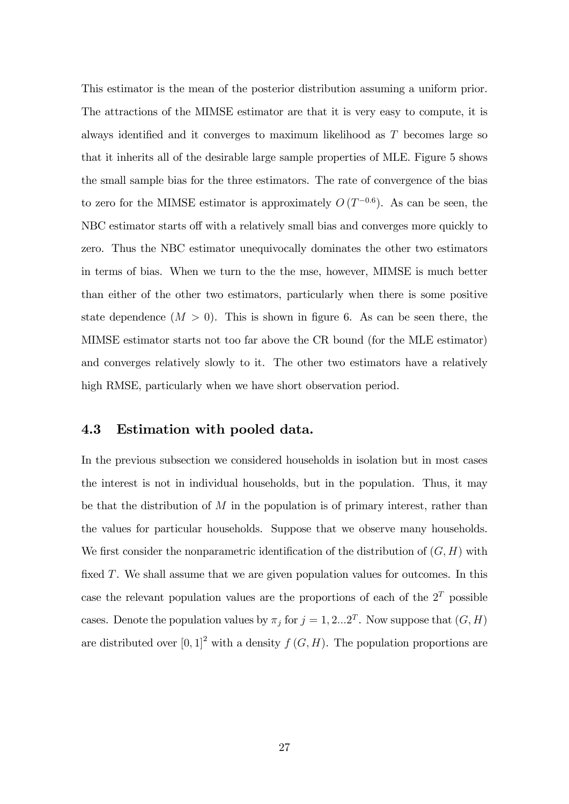This estimator is the mean of the posterior distribution assuming a uniform prior. The attractions of the MIMSE estimator are that it is very easy to compute, it is always identified and it converges to maximum likelihood as  $T$  becomes large so that it inherits all of the desirable large sample properties of MLE. Figure 5 shows the small sample bias for the three estimators. The rate of convergence of the bias to zero for the MIMSE estimator is approximately  $O(T^{-0.6})$ . As can be seen, the NBC estimator starts off with a relatively small bias and converges more quickly to zero. Thus the NBC estimator unequivocally dominates the other two estimators in terms of bias. When we turn to the the mse, however, MIMSE is much better than either of the other two estimators, particularly when there is some positive state dependence  $(M > 0)$ . This is shown in figure 6. As can be seen there, the MIMSE estimator starts not too far above the CR bound (for the MLE estimator) and converges relatively slowly to it. The other two estimators have a relatively high RMSE, particularly when we have short observation period.

## 4.3 Estimation with pooled data.

In the previous subsection we considered households in isolation but in most cases the interest is not in individual households, but in the population. Thus, it may be that the distribution of  $M$  in the population is of primary interest, rather than the values for particular households. Suppose that we observe many households. We first consider the nonparametric identification of the distribution of  $(G, H)$  with fixed  $T$ . We shall assume that we are given population values for outcomes. In this case the relevant population values are the proportions of each of the  $2<sup>T</sup>$  possible cases. Denote the population values by  $\pi_j$  for  $j = 1, 2...2^T$ . Now suppose that  $(G, H)$ are distributed over  $[0,1]^2$  with a density  $f(G,H)$ . The population proportions are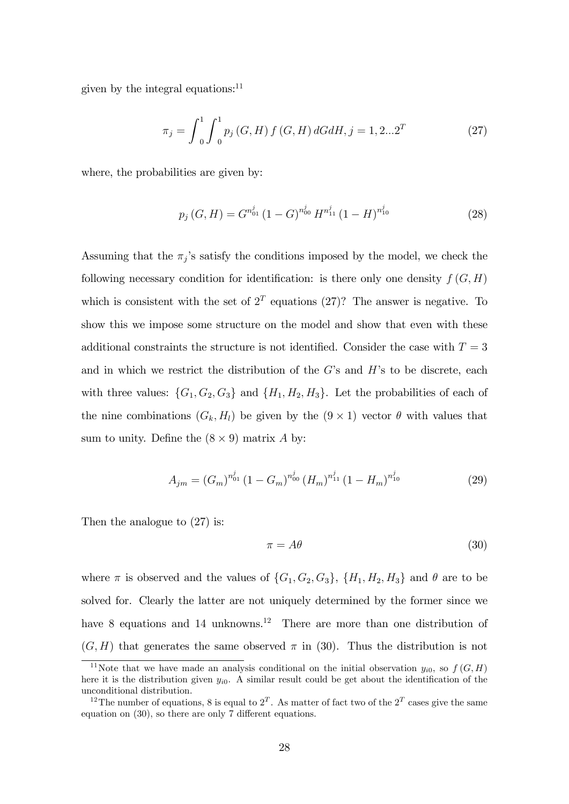given by the integral equations: $^{11}$ 

$$
\pi_j = \int_0^1 \int_0^1 p_j(G, H) f(G, H) dG dH, j = 1, 2...2^T
$$
\n(27)

where, the probabilities are given by:

$$
p_j\left(G, H\right) = G^{n_{01}^j} \left(1 - G\right)^{n_{00}^j} H^{n_{11}^j} \left(1 - H\right)^{n_{10}^j} \tag{28}
$$

Assuming that the  $\pi_j$ 's satisfy the conditions imposed by the model, we check the following necessary condition for identification: is there only one density  $f(G, H)$ which is consistent with the set of  $2<sup>T</sup>$  equations (27)? The answer is negative. To show this we impose some structure on the model and show that even with these additional constraints the structure is not identified. Consider the case with  $T = 3$ and in which we restrict the distribution of the  $G$ 's and  $H$ 's to be discrete, each with three values:  $\{G_1, G_2, G_3\}$  and  $\{H_1, H_2, H_3\}$ . Let the probabilities of each of the nine combinations  $(G_k, H_l)$  be given by the  $(9 \times 1)$  vector  $\theta$  with values that sum to unity. Define the  $(8 \times 9)$  matrix A by:

$$
A_{jm} = (G_m)^{n_{01}^j} (1 - G_m)^{n_{00}^j} (H_m)^{n_{11}^j} (1 - H_m)^{n_{10}^j}
$$
 (29)

Then the analogue to (27) is:

$$
\pi = A\theta \tag{30}
$$

where  $\pi$  is observed and the values of  $\{G_1, G_2, G_3\}$ ,  $\{H_1, H_2, H_3\}$  and  $\theta$  are to be solved for. Clearly the latter are not uniquely determined by the former since we have 8 equations and 14 unknowns.<sup>12</sup> There are more than one distribution of  $(G, H)$  that generates the same observed  $\pi$  in (30). Thus the distribution is not

<sup>&</sup>lt;sup>11</sup>Note that we have made an analysis conditional on the initial observation  $y_{i0}$ , so  $f(G, H)$ here it is the distribution given  $y_{i0}$ . A similar result could be get about the identification of the unconditional distribution.

<sup>&</sup>lt;sup>12</sup>The number of equations, 8 is equal to  $2^T$ . As matter of fact two of the  $2^T$  cases give the same equation on  $(30)$ , so there are only 7 different equations.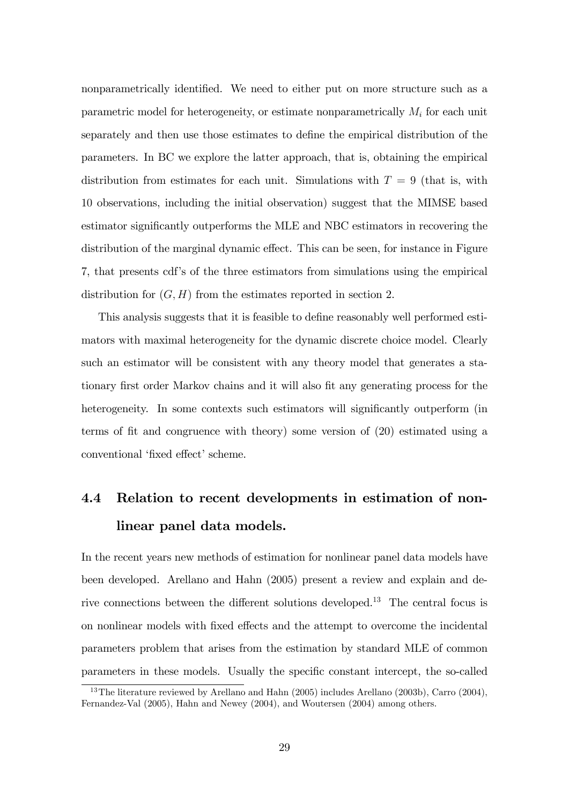nonparametrically identified. We need to either put on more structure such as a parametric model for heterogeneity, or estimate nonparametrically  $M_i$  for each unit separately and then use those estimates to define the empirical distribution of the parameters. In BC we explore the latter approach, that is, obtaining the empirical distribution from estimates for each unit. Simulations with  $T = 9$  (that is, with 10 observations, including the initial observation) suggest that the MIMSE based estimator significantly outperforms the MLE and NBC estimators in recovering the distribution of the marginal dynamic effect. This can be seen, for instance in Figure 7, that presents cdfís of the three estimators from simulations using the empirical distribution for  $(G, H)$  from the estimates reported in section 2.

This analysis suggests that it is feasible to define reasonably well performed estimators with maximal heterogeneity for the dynamic discrete choice model. Clearly such an estimator will be consistent with any theory model that generates a stationary first order Markov chains and it will also fit any generating process for the heterogeneity. In some contexts such estimators will significantly outperform (in terms of fit and congruence with theory) some version of  $(20)$  estimated using a conventional 'fixed effect' scheme.

# 4.4 Relation to recent developments in estimation of nonlinear panel data models.

In the recent years new methods of estimation for nonlinear panel data models have been developed. Arellano and Hahn (2005) present a review and explain and derive connections between the different solutions developed.<sup>13</sup> The central focus is on nonlinear models with fixed effects and the attempt to overcome the incidental parameters problem that arises from the estimation by standard MLE of common parameters in these models. Usually the specific constant intercept, the so-called

<sup>&</sup>lt;sup>13</sup>The literature reviewed by Arellano and Hahn  $(2005)$  includes Arellano  $(2003b)$ , Carro  $(2004)$ , Fernandez-Val (2005), Hahn and Newey (2004), and Woutersen (2004) among others.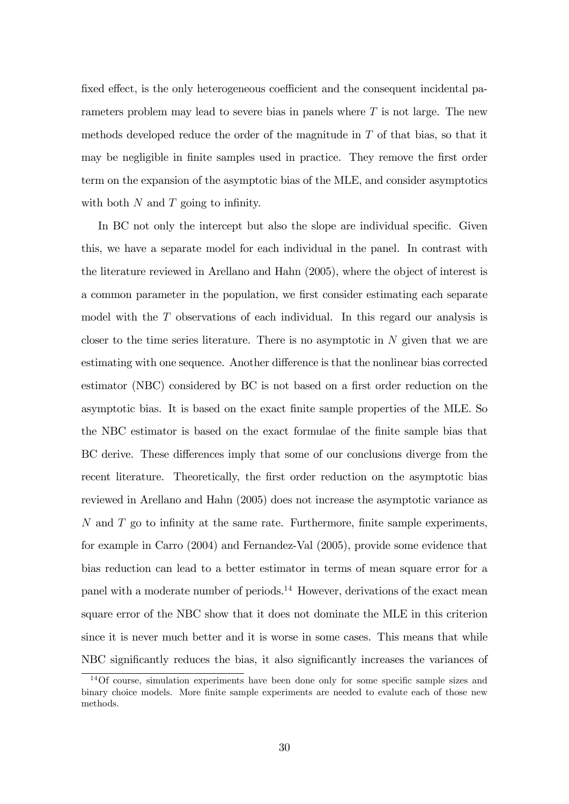fixed effect, is the only heterogeneous coefficient and the consequent incidental parameters problem may lead to severe bias in panels where  $T$  is not large. The new methods developed reduce the order of the magnitude in  $T$  of that bias, so that it may be negligible in finite samples used in practice. They remove the first order term on the expansion of the asymptotic bias of the MLE, and consider asymptotics with both  $N$  and  $T$  going to infinity.

In BC not only the intercept but also the slope are individual specific. Given this, we have a separate model for each individual in the panel. In contrast with the literature reviewed in Arellano and Hahn (2005), where the object of interest is a common parameter in the population, we first consider estimating each separate model with the T observations of each individual. In this regard our analysis is closer to the time series literature. There is no asymptotic in  $N$  given that we are estimating with one sequence. Another difference is that the nonlinear bias corrected estimator (NBC) considered by BC is not based on a first order reduction on the asymptotic bias. It is based on the exact finite sample properties of the MLE. So the NBC estimator is based on the exact formulae of the Önite sample bias that BC derive. These differences imply that some of our conclusions diverge from the recent literature. Theoretically, the first order reduction on the asymptotic bias reviewed in Arellano and Hahn (2005) does not increase the asymptotic variance as  $N$  and  $T$  go to infinity at the same rate. Furthermore, finite sample experiments, for example in Carro (2004) and Fernandez-Val (2005), provide some evidence that bias reduction can lead to a better estimator in terms of mean square error for a panel with a moderate number of periods.<sup>14</sup> However, derivations of the exact mean square error of the NBC show that it does not dominate the MLE in this criterion since it is never much better and it is worse in some cases. This means that while NBC significantly reduces the bias, it also significantly increases the variances of

 $14$ Of course, simulation experiments have been done only for some specific sample sizes and binary choice models. More finite sample experiments are needed to evalute each of those new methods.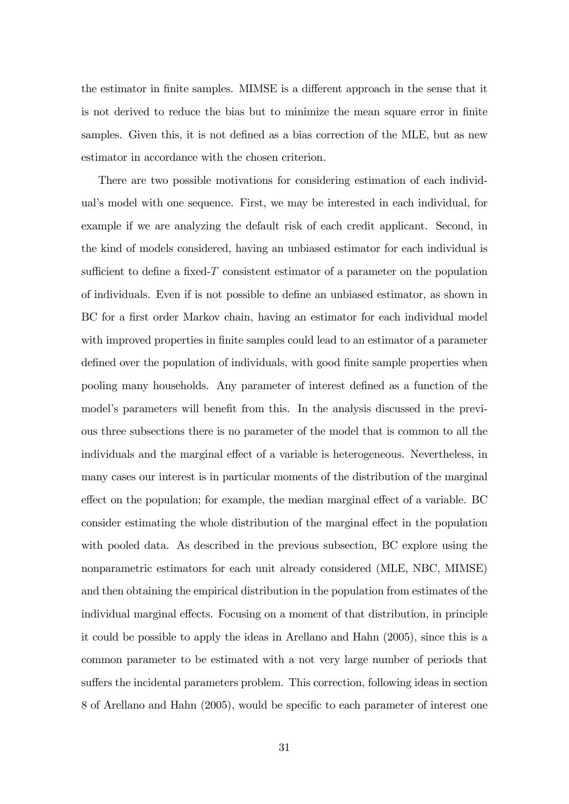the estimator in finite samples. MIMSE is a different approach in the sense that it is not derived to reduce the bias but to minimize the mean square error in finite samples. Given this, it is not defined as a bias correction of the MLE, but as new estimator in accordance with the chosen criterion.

There are two possible motivations for considering estimation of each individual's model with one sequence. First, we may be interested in each individual, for example if we are analyzing the default risk of each credit applicant. Second, in the kind of models considered, having an unbiased estimator for each individual is sufficient to define a fixed- $T$  consistent estimator of a parameter on the population of individuals. Even if is not possible to define an unbiased estimator, as shown in BC for a first order Markov chain, having an estimator for each individual model with improved properties in finite samples could lead to an estimator of a parameter defined over the population of individuals, with good finite sample properties when pooling many households. Any parameter of interest defined as a function of the model's parameters will benefit from this. In the analysis discussed in the previous three subsections there is no parameter of the model that is common to all the individuals and the marginal effect of a variable is heterogeneous. Nevertheless, in many cases our interest is in particular moments of the distribution of the marginal effect on the population; for example, the median marginal effect of a variable. BC consider estimating the whole distribution of the marginal effect in the population with pooled data. As described in the previous subsection, BC explore using the nonparametric estimators for each unit already considered (MLE, NBC, MIMSE) and then obtaining the empirical distribution in the population from estimates of the individual marginal effects. Focusing on a moment of that distribution, in principle it could be possible to apply the ideas in Arellano and Hahn (2005), since this is a common parameter to be estimated with a not very large number of periods that suffers the incidental parameters problem. This correction, following ideas in section 8 of Arellano and Hahn (2005), would be specific to each parameter of interest one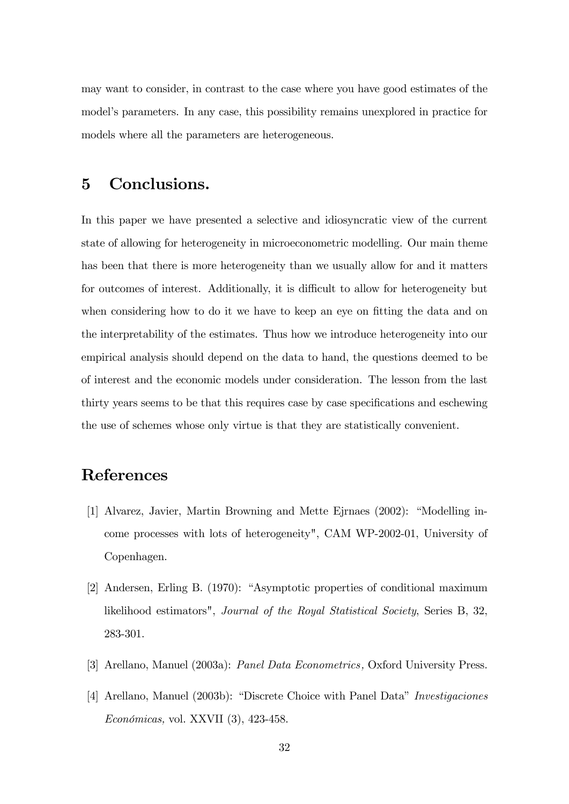may want to consider, in contrast to the case where you have good estimates of the model's parameters. In any case, this possibility remains unexplored in practice for models where all the parameters are heterogeneous.

# 5 Conclusions.

In this paper we have presented a selective and idiosyncratic view of the current state of allowing for heterogeneity in microeconometric modelling. Our main theme has been that there is more heterogeneity than we usually allow for and it matters for outcomes of interest. Additionally, it is difficult to allow for heterogeneity but when considering how to do it we have to keep an eye on fitting the data and on the interpretability of the estimates. Thus how we introduce heterogeneity into our empirical analysis should depend on the data to hand, the questions deemed to be of interest and the economic models under consideration. The lesson from the last thirty years seems to be that this requires case by case specifications and eschewing the use of schemes whose only virtue is that they are statistically convenient.

# References

- [1] Alvarez, Javier, Martin Browning and Mette Ejrnaes (2002): "Modelling income processes with lots of heterogeneity", CAM WP-2002-01, University of Copenhagen.
- $[2]$  Andersen, Erling B. (1970): "Asymptotic properties of conditional maximum likelihood estimators", Journal of the Royal Statistical Society, Series B, 32, 283-301.
- [3] Arellano, Manuel (2003a): Panel Data Econometrics, Oxford University Press.
- [4] Arellano, Manuel (2003b): "Discrete Choice with Panel Data" Investigaciones  $E$ conómicas, vol. XXVII  $(3)$ , 423-458.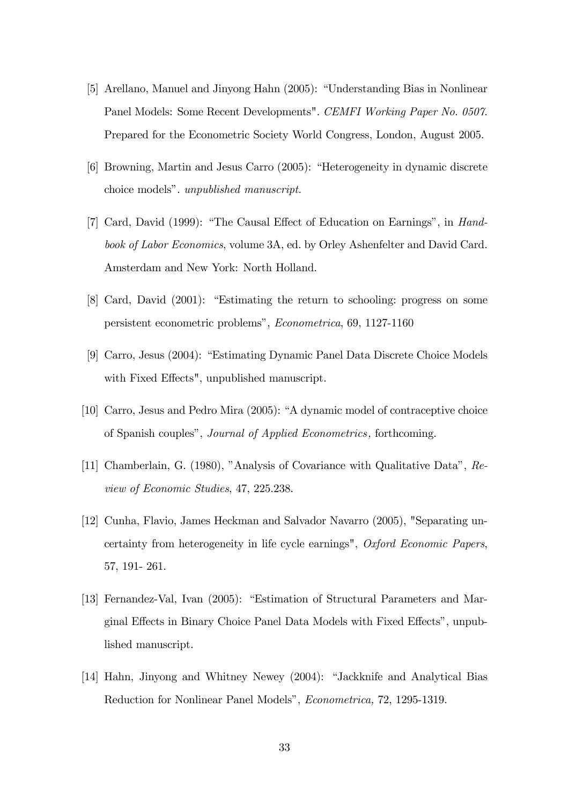- [5] Arellano, Manuel and Jinyong Hahn (2005): "Understanding Bias in Nonlinear Panel Models: Some Recent Developments". CEMFI Working Paper No. 0507. Prepared for the Econometric Society World Congress, London, August 2005.
- [6] Browning, Martin and Jesus Carro (2005): "Heterogeneity in dynamic discrete choice models". unpublished manuscript.
- [7] Card, David (1999): "The Causal Effect of Education on Earnings", in Handbook of Labor Economics, volume 3A, ed. by Orley Ashenfelter and David Card. Amsterdam and New York: North Holland.
- $[8]$  Card, David  $(2001)$ : "Estimating the return to schooling: progress on some persistent econometric problemsî, Econometrica, 69, 1127-1160
- [9] Carro, Jesus (2004): "Estimating Dynamic Panel Data Discrete Choice Models with Fixed Effects", unpublished manuscript.
- [10] Carro, Jesus and Pedro Mira  $(2005)$ : "A dynamic model of contraceptive choice of Spanish couplesî, Journal of Applied Econometrics, forthcoming.
- [11] Chamberlain, G. (1980), "Analysis of Covariance with Qualitative Data",  $Re$ view of Economic Studies, 47, 225.238.
- [12] Cunha, Flavio, James Heckman and Salvador Navarro (2005), "Separating uncertainty from heterogeneity in life cycle earnings", Oxford Economic Papers, 57, 191- 261.
- [13] Fernandez-Val, Ivan (2005): "Estimation of Structural Parameters and Marginal Effects in Binary Choice Panel Data Models with Fixed Effects", unpublished manuscript.
- [14] Hahn, Jinyong and Whitney Newey (2004): "Jackknife and Analytical Bias Reduction for Nonlinear Panel Models", Econometrica, 72, 1295-1319.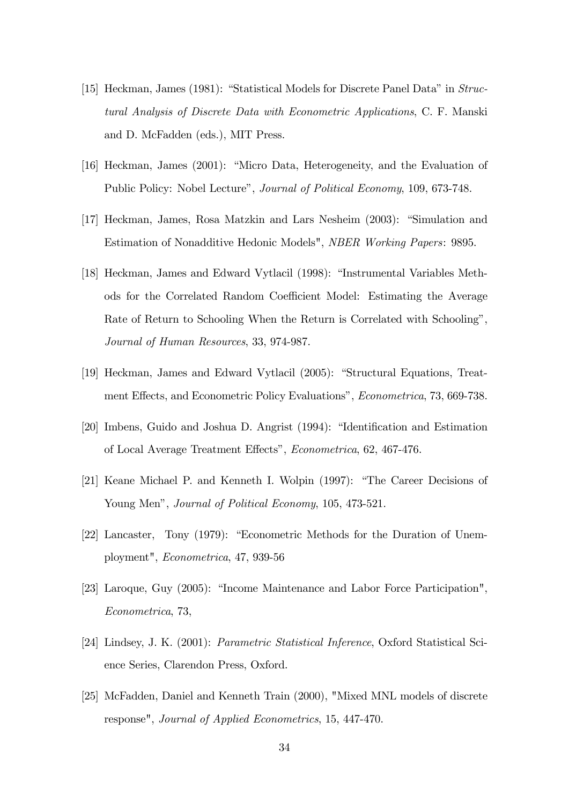- [15] Heckman, James (1981): "Statistical Models for Discrete Panel Data" in Structural Analysis of Discrete Data with Econometric Applications, C. F. Manski and D. McFadden (eds.), MIT Press.
- [16] Heckman, James (2001): "Micro Data, Heterogeneity, and the Evaluation of Public Policy: Nobel Lecture", *Journal of Political Economy*, 109, 673-748.
- [17] Heckman, James, Rosa Matzkin and Lars Nesheim (2003): "Simulation and Estimation of Nonadditive Hedonic Models", NBER Working Papers: 9895.
- [18] Heckman, James and Edward Vytlacil (1998): "Instrumental Variables Methods for the Correlated Random Coefficient Model: Estimating the Average Rate of Return to Schooling When the Return is Correlated with Schooling", Journal of Human Resources, 33, 974-987.
- [19] Heckman, James and Edward Vytlacil (2005): "Structural Equations, Treatment Effects, and Econometric Policy Evaluations", *Econometrica*, 73, 669-738.
- [20] Imbens, Guido and Joshua D. Angrist (1994): "Identification and Estimation of Local Average Treatment Effects", Econometrica, 62, 467-476.
- [21] Keane Michael P. and Kenneth I. Wolpin (1997): "The Career Decisions of Young Men", *Journal of Political Economy*, 105, 473-521.
- [22] Lancaster, Tony (1979): "Econometric Methods for the Duration of Unemployment", Econometrica, 47, 939-56
- [23] Laroque, Guy (2005): "Income Maintenance and Labor Force Participation", Econometrica, 73,
- [24] Lindsey, J. K. (2001): Parametric Statistical Inference, Oxford Statistical Science Series, Clarendon Press, Oxford.
- [25] McFadden, Daniel and Kenneth Train (2000), "Mixed MNL models of discrete response", Journal of Applied Econometrics, 15, 447-470.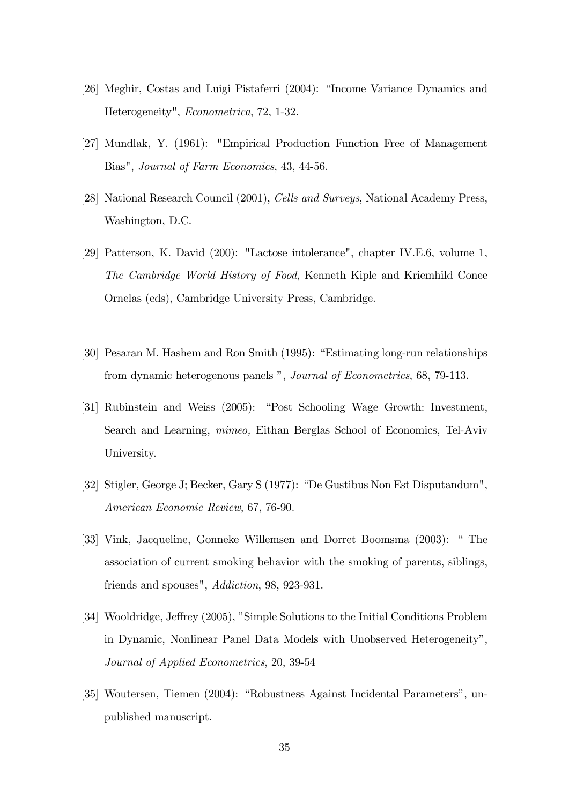- [26] Meghir, Costas and Luigi Pistaferri (2004): "Income Variance Dynamics and Heterogeneity", Econometrica, 72, 1-32.
- [27] Mundlak, Y. (1961): "Empirical Production Function Free of Management Bias", Journal of Farm Economics, 43, 44-56.
- [28] National Research Council (2001), Cells and Surveys, National Academy Press, Washington, D.C.
- [29] Patterson, K. David (200): "Lactose intolerance", chapter IV.E.6, volume 1, The Cambridge World History of Food, Kenneth Kiple and Kriemhild Conee Ornelas (eds), Cambridge University Press, Cambridge.
- [30] Pesaran M. Hashem and Ron Smith (1995): "Estimating long-run relationships from dynamic heterogenous panels ", Journal of Econometrics, 68, 79-113.
- [31] Rubinstein and Weiss (2005): "Post Schooling Wage Growth: Investment, Search and Learning, mimeo, Eithan Berglas School of Economics, Tel-Aviv University.
- [32] Stigler, George J; Becker, Gary S (1977): "De Gustibus Non Est Disputandum", American Economic Review, 67, 76-90.
- [33] Vink, Jacqueline, Gonneke Willemsen and Dorret Boomsma (2003): "The association of current smoking behavior with the smoking of parents, siblings, friends and spouses", Addiction, 98, 923-931.
- [34] Wooldridge, Jeffrey (2005), "Simple Solutions to the Initial Conditions Problem in Dynamic, Nonlinear Panel Data Models with Unobserved Heterogeneity", Journal of Applied Econometrics, 20, 39-54
- [35] Woutersen, Tiemen (2004): "Robustness Against Incidental Parameters", unpublished manuscript.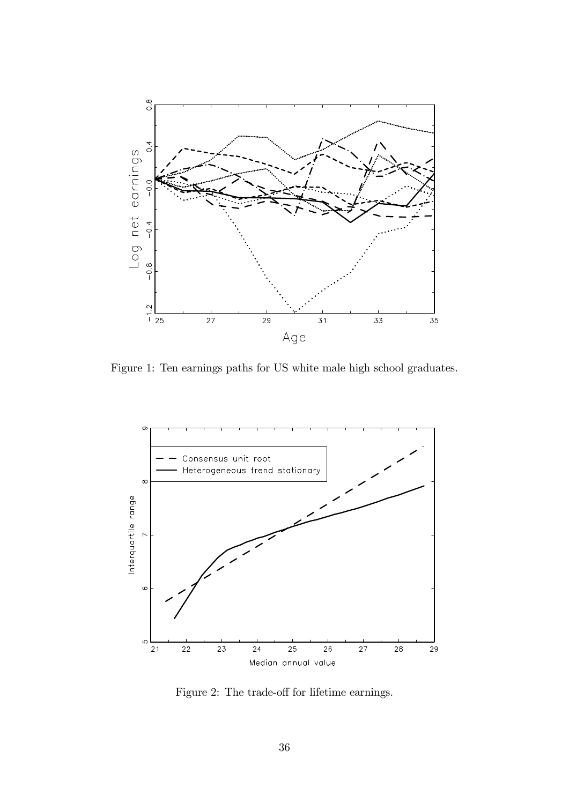

Figure 1: Ten earnings paths for US white male high school graduates.



Figure 2: The trade-off for lifetime earnings.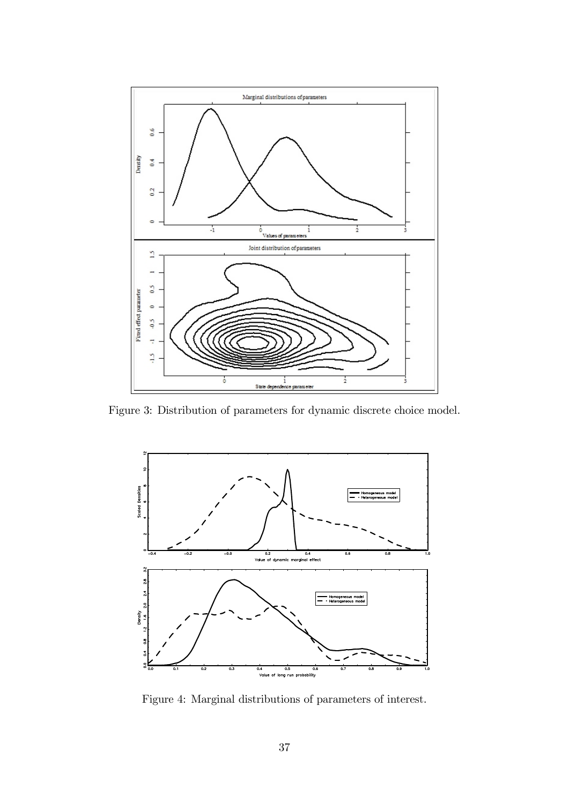

Figure 3: Distribution of parameters for dynamic discrete choice model.



Figure 4: Marginal distributions of parameters of interest.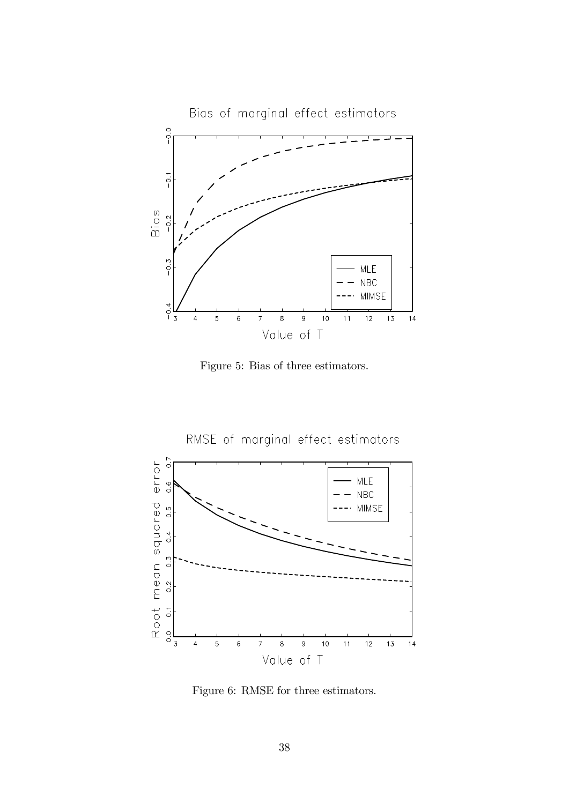

Figure 5: Bias of three estimators.



Figure 6: RMSE for three estimators.